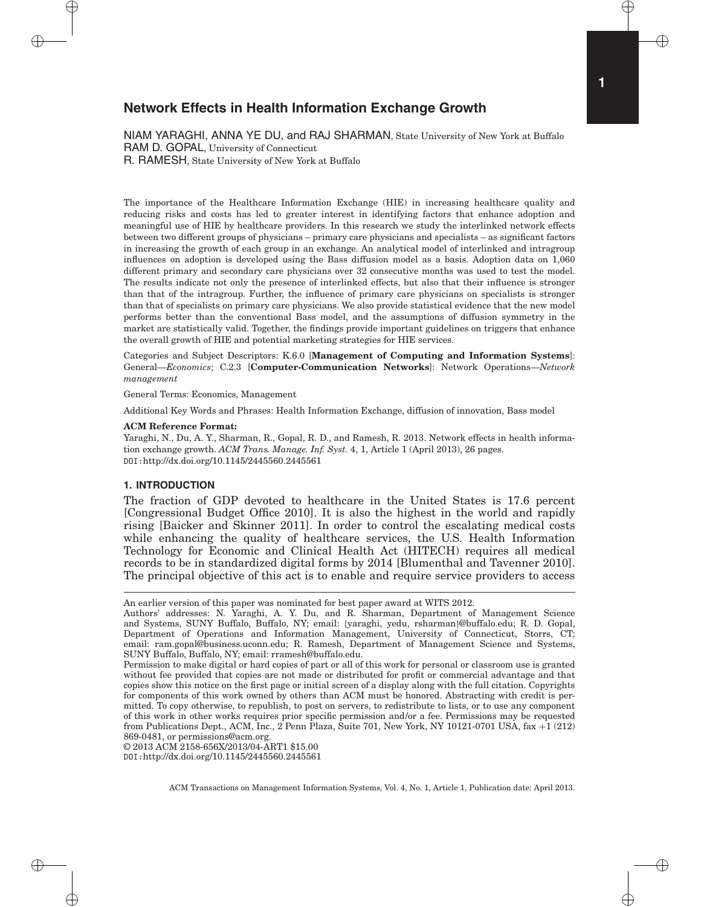# **Network Effects in Health Information Exchange Growth**

NIAM YARAGHI, ANNA YE DU, and RAJ SHARMAN, State University of New York at Buffalo RAM D. GOPAL, University of Connecticut R. RAMESH, State University of New York at Buffalo

The importance of the Healthcare Information Exchange (HIE) in increasing healthcare quality and reducing risks and costs has led to greater interest in identifying factors that enhance adoption and meaningful use of HIE by healthcare providers. In this research we study the interlinked network effects between two different groups of physicians – primary care physicians and specialists – as significant factors in increasing the growth of each group in an exchange. An analytical model of interlinked and intragroup influences on adoption is developed using the Bass diffusion model as a basis. Adoption data on 1,060 different primary and secondary care physicians over 32 consecutive months was used to test the model. The results indicate not only the presence of interlinked effects, but also that their influence is stronger than that of the intragroup. Further, the influence of primary care physicians on specialists is stronger than that of specialists on primary care physicians. We also provide statistical evidence that the new model performs better than the conventional Bass model, and the assumptions of diffusion symmetry in the market are statistically valid. Together, the findings provide important guidelines on triggers that enhance the overall growth of HIE and potential marketing strategies for HIE services.

Categories and Subject Descriptors: K.6.0 [**Management of Computing and Information Systems**]: General—*Economics*; C.2.3 [**Computer-Communication Networks**]: Network Operations—*Network management*

General Terms: Economics, Management

Additional Key Words and Phrases: Health Information Exchange, diffusion of innovation, Bass model

## **ACM Reference Format:**

Yaraghi, N., Du, A. Y., Sharman, R., Gopal, R. D., and Ramesh, R. 2013. Network effects in health information exchange growth. *ACM Trans. Manage. Inf. Syst.* 4, 1, Article 1 (April 2013), 26 pages. DOI:http://dx.doi.org/10.1145/2445560.2445561

# **1. INTRODUCTION**

The fraction of GDP devoted to healthcare in the United States is 17.6 percent [Congressional Budget Office 2010]. It is also the highest in the world and rapidly rising [Baicker and Skinner 2011]. In order to control the escalating medical costs while enhancing the quality of healthcare services, the U.S. Health Information Technology for Economic and Clinical Health Act (HITECH) requires all medical records to be in standardized digital forms by 2014 [Blumenthal and Tavenner 2010]. The principal objective of this act is to enable and require service providers to access

© 2013 ACM 2158-656X/2013/04-ART1 \$15.00 DOI:http://dx.doi.org/10.1145/2445560.2445561

An earlier version of this paper was nominated for best paper award at WITS 2012.

Authors' addresses: N. Yaraghi, A. Y. Du, and R. Sharman, Department of Management Science and Systems, SUNY Buffalo, Buffalo, NY; email: {yaraghi, yedu, rsharman}@buffalo.edu; R. D. Gopal, Department of Operations and Information Management, University of Connecticut, Storrs, CT; email: ram.gopal@business.uconn.edu; R. Ramesh, Department of Management Science and Systems, SUNY Buffalo, Buffalo, NY; email: rramesh@buffalo.edu.

Permission to make digital or hard copies of part or all of this work for personal or classroom use is granted without fee provided that copies are not made or distributed for profit or commercial advantage and that copies show this notice on the first page or initial screen of a display along with the full citation. Copyrights for components of this work owned by others than ACM must be honored. Abstracting with credit is permitted. To copy otherwise, to republish, to post on servers, to redistribute to lists, or to use any component of this work in other works requires prior specific permission and/or a fee. Permissions may be requested from Publications Dept., ACM, Inc., 2 Penn Plaza, Suite 701, New York, NY 10121-0701 USA, fax +1 (212) 869-0481, or permissions@acm.org.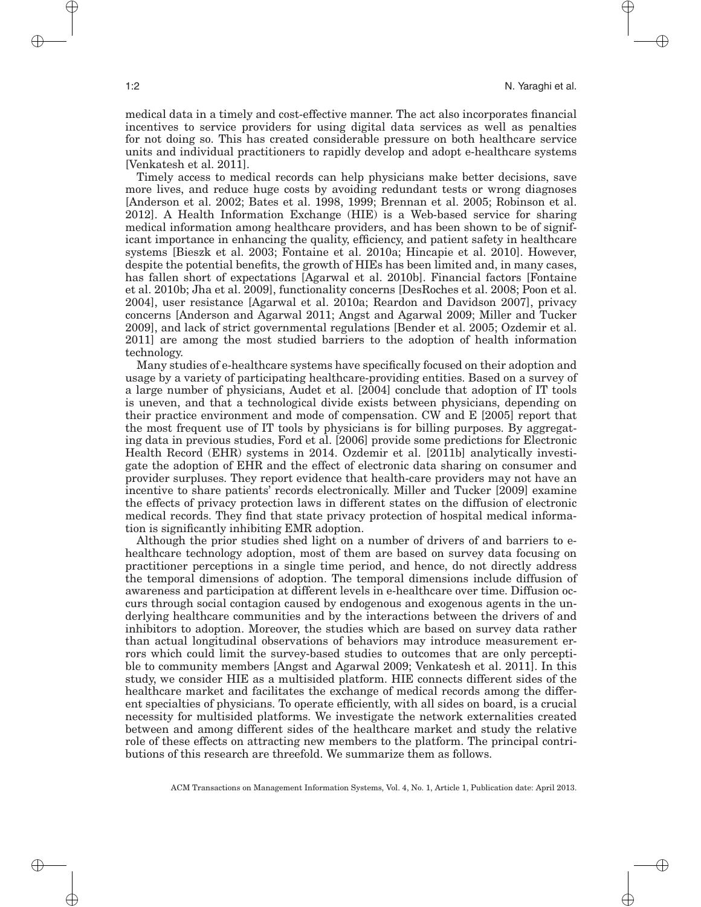medical data in a timely and cost-effective manner. The act also incorporates financial incentives to service providers for using digital data services as well as penalties for not doing so. This has created considerable pressure on both healthcare service units and individual practitioners to rapidly develop and adopt e-healthcare systems [Venkatesh et al. 2011].

Timely access to medical records can help physicians make better decisions, save more lives, and reduce huge costs by avoiding redundant tests or wrong diagnoses [Anderson et al. 2002; Bates et al. 1998, 1999; Brennan et al. 2005; Robinson et al. 2012]. A Health Information Exchange (HIE) is a Web-based service for sharing medical information among healthcare providers, and has been shown to be of significant importance in enhancing the quality, efficiency, and patient safety in healthcare systems [Bieszk et al. 2003; Fontaine et al. 2010a; Hincapie et al. 2010]. However, despite the potential benefits, the growth of HIEs has been limited and, in many cases, has fallen short of expectations [Agarwal et al. 2010b]. Financial factors [Fontaine et al. 2010b; Jha et al. 2009], functionality concerns [DesRoches et al. 2008; Poon et al. 2004], user resistance [Agarwal et al. 2010a; Reardon and Davidson 2007], privacy concerns [Anderson and Agarwal 2011; Angst and Agarwal 2009; Miller and Tucker 2009], and lack of strict governmental regulations [Bender et al. 2005; Ozdemir et al. 2011] are among the most studied barriers to the adoption of health information technology.

Many studies of e-healthcare systems have specifically focused on their adoption and usage by a variety of participating healthcare-providing entities. Based on a survey of a large number of physicians, Audet et al. [2004] conclude that adoption of IT tools is uneven, and that a technological divide exists between physicians, depending on their practice environment and mode of compensation. CW and E [2005] report that the most frequent use of IT tools by physicians is for billing purposes. By aggregating data in previous studies, Ford et al. [2006] provide some predictions for Electronic Health Record (EHR) systems in 2014. Ozdemir et al. [2011b] analytically investigate the adoption of EHR and the effect of electronic data sharing on consumer and provider surpluses. They report evidence that health-care providers may not have an incentive to share patients' records electronically. Miller and Tucker [2009] examine the effects of privacy protection laws in different states on the diffusion of electronic medical records. They find that state privacy protection of hospital medical information is significantly inhibiting EMR adoption.

Although the prior studies shed light on a number of drivers of and barriers to ehealthcare technology adoption, most of them are based on survey data focusing on practitioner perceptions in a single time period, and hence, do not directly address the temporal dimensions of adoption. The temporal dimensions include diffusion of awareness and participation at different levels in e-healthcare over time. Diffusion occurs through social contagion caused by endogenous and exogenous agents in the underlying healthcare communities and by the interactions between the drivers of and inhibitors to adoption. Moreover, the studies which are based on survey data rather than actual longitudinal observations of behaviors may introduce measurement errors which could limit the survey-based studies to outcomes that are only perceptible to community members [Angst and Agarwal 2009; Venkatesh et al. 2011]. In this study, we consider HIE as a multisided platform. HIE connects different sides of the healthcare market and facilitates the exchange of medical records among the different specialties of physicians. To operate efficiently, with all sides on board, is a crucial necessity for multisided platforms. We investigate the network externalities created between and among different sides of the healthcare market and study the relative role of these effects on attracting new members to the platform. The principal contributions of this research are threefold. We summarize them as follows.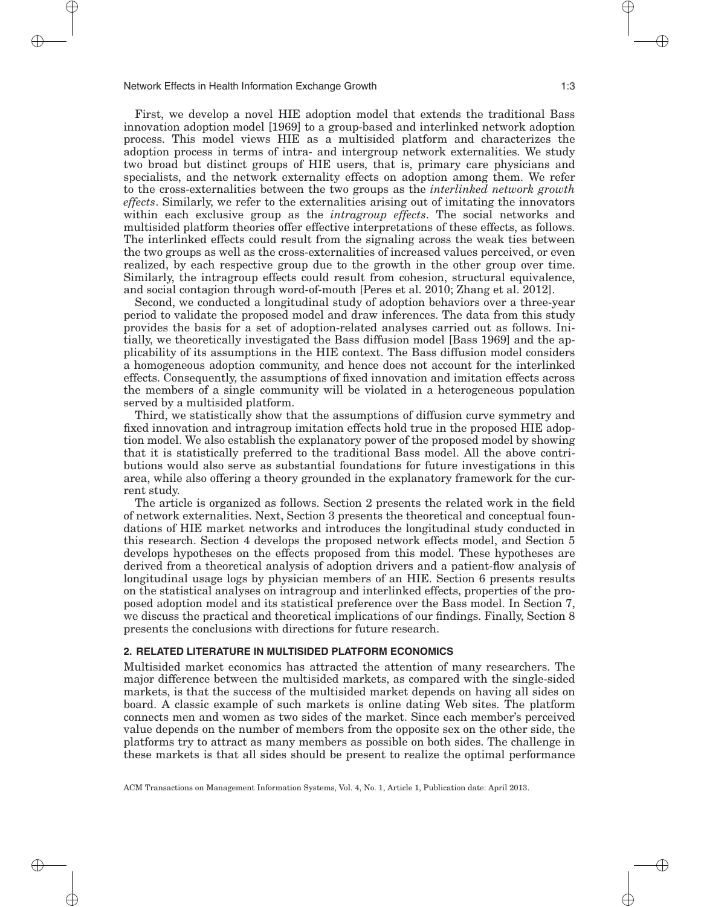First, we develop a novel HIE adoption model that extends the traditional Bass innovation adoption model [1969] to a group-based and interlinked network adoption process. This model views HIE as a multisided platform and characterizes the adoption process in terms of intra- and intergroup network externalities. We study two broad but distinct groups of HIE users, that is, primary care physicians and specialists, and the network externality effects on adoption among them. We refer to the cross-externalities between the two groups as the *interlinked network growth effects*. Similarly, we refer to the externalities arising out of imitating the innovators within each exclusive group as the *intragroup effects*. The social networks and multisided platform theories offer effective interpretations of these effects, as follows. The interlinked effects could result from the signaling across the weak ties between the two groups as well as the cross-externalities of increased values perceived, or even realized, by each respective group due to the growth in the other group over time. Similarly, the intragroup effects could result from cohesion, structural equivalence, and social contagion through word-of-mouth [Peres et al. 2010; Zhang et al. 2012].

Second, we conducted a longitudinal study of adoption behaviors over a three-year period to validate the proposed model and draw inferences. The data from this study provides the basis for a set of adoption-related analyses carried out as follows. Initially, we theoretically investigated the Bass diffusion model [Bass 1969] and the applicability of its assumptions in the HIE context. The Bass diffusion model considers a homogeneous adoption community, and hence does not account for the interlinked effects. Consequently, the assumptions of fixed innovation and imitation effects across the members of a single community will be violated in a heterogeneous population served by a multisided platform.

Third, we statistically show that the assumptions of diffusion curve symmetry and fixed innovation and intragroup imitation effects hold true in the proposed HIE adoption model. We also establish the explanatory power of the proposed model by showing that it is statistically preferred to the traditional Bass model. All the above contributions would also serve as substantial foundations for future investigations in this area, while also offering a theory grounded in the explanatory framework for the current study.

The article is organized as follows. Section 2 presents the related work in the field of network externalities. Next, Section 3 presents the theoretical and conceptual foundations of HIE market networks and introduces the longitudinal study conducted in this research. Section 4 develops the proposed network effects model, and Section 5 develops hypotheses on the effects proposed from this model. These hypotheses are derived from a theoretical analysis of adoption drivers and a patient-flow analysis of longitudinal usage logs by physician members of an HIE. Section 6 presents results on the statistical analyses on intragroup and interlinked effects, properties of the proposed adoption model and its statistical preference over the Bass model. In Section 7, we discuss the practical and theoretical implications of our findings. Finally, Section 8 presents the conclusions with directions for future research.

# **2. RELATED LITERATURE IN MULTISIDED PLATFORM ECONOMICS**

Multisided market economics has attracted the attention of many researchers. The major difference between the multisided markets, as compared with the single-sided markets, is that the success of the multisided market depends on having all sides on board. A classic example of such markets is online dating Web sites. The platform connects men and women as two sides of the market. Since each member's perceived value depends on the number of members from the opposite sex on the other side, the platforms try to attract as many members as possible on both sides. The challenge in these markets is that all sides should be present to realize the optimal performance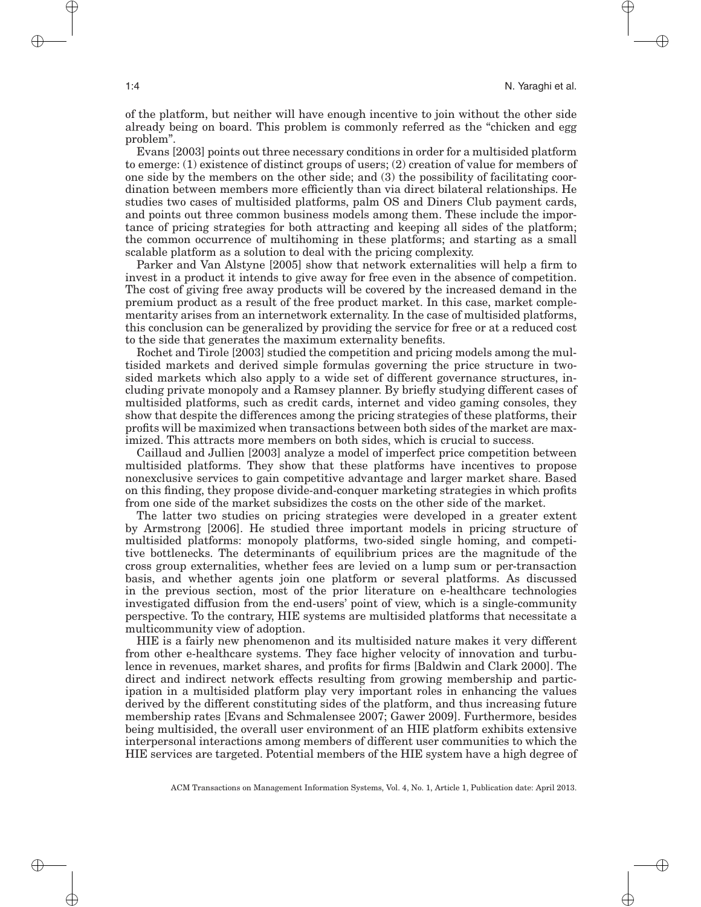of the platform, but neither will have enough incentive to join without the other side already being on board. This problem is commonly referred as the "chicken and egg problem".

Evans [2003] points out three necessary conditions in order for a multisided platform to emerge: (1) existence of distinct groups of users; (2) creation of value for members of one side by the members on the other side; and (3) the possibility of facilitating coordination between members more efficiently than via direct bilateral relationships. He studies two cases of multisided platforms, palm OS and Diners Club payment cards, and points out three common business models among them. These include the importance of pricing strategies for both attracting and keeping all sides of the platform; the common occurrence of multihoming in these platforms; and starting as a small scalable platform as a solution to deal with the pricing complexity.

Parker and Van Alstyne [2005] show that network externalities will help a firm to invest in a product it intends to give away for free even in the absence of competition. The cost of giving free away products will be covered by the increased demand in the premium product as a result of the free product market. In this case, market complementarity arises from an internetwork externality. In the case of multisided platforms, this conclusion can be generalized by providing the service for free or at a reduced cost to the side that generates the maximum externality benefits.

Rochet and Tirole [2003] studied the competition and pricing models among the multisided markets and derived simple formulas governing the price structure in twosided markets which also apply to a wide set of different governance structures, including private monopoly and a Ramsey planner. By briefly studying different cases of multisided platforms, such as credit cards, internet and video gaming consoles, they show that despite the differences among the pricing strategies of these platforms, their profits will be maximized when transactions between both sides of the market are maximized. This attracts more members on both sides, which is crucial to success.

Caillaud and Jullien [2003] analyze a model of imperfect price competition between multisided platforms. They show that these platforms have incentives to propose nonexclusive services to gain competitive advantage and larger market share. Based on this finding, they propose divide-and-conquer marketing strategies in which profits from one side of the market subsidizes the costs on the other side of the market.

The latter two studies on pricing strategies were developed in a greater extent by Armstrong [2006]. He studied three important models in pricing structure of multisided platforms: monopoly platforms, two-sided single homing, and competitive bottlenecks. The determinants of equilibrium prices are the magnitude of the cross group externalities, whether fees are levied on a lump sum or per-transaction basis, and whether agents join one platform or several platforms. As discussed in the previous section, most of the prior literature on e-healthcare technologies investigated diffusion from the end-users' point of view, which is a single-community perspective. To the contrary, HIE systems are multisided platforms that necessitate a multicommunity view of adoption.

HIE is a fairly new phenomenon and its multisided nature makes it very different from other e-healthcare systems. They face higher velocity of innovation and turbulence in revenues, market shares, and profits for firms [Baldwin and Clark 2000]. The direct and indirect network effects resulting from growing membership and participation in a multisided platform play very important roles in enhancing the values derived by the different constituting sides of the platform, and thus increasing future membership rates [Evans and Schmalensee 2007; Gawer 2009]. Furthermore, besides being multisided, the overall user environment of an HIE platform exhibits extensive interpersonal interactions among members of different user communities to which the HIE services are targeted. Potential members of the HIE system have a high degree of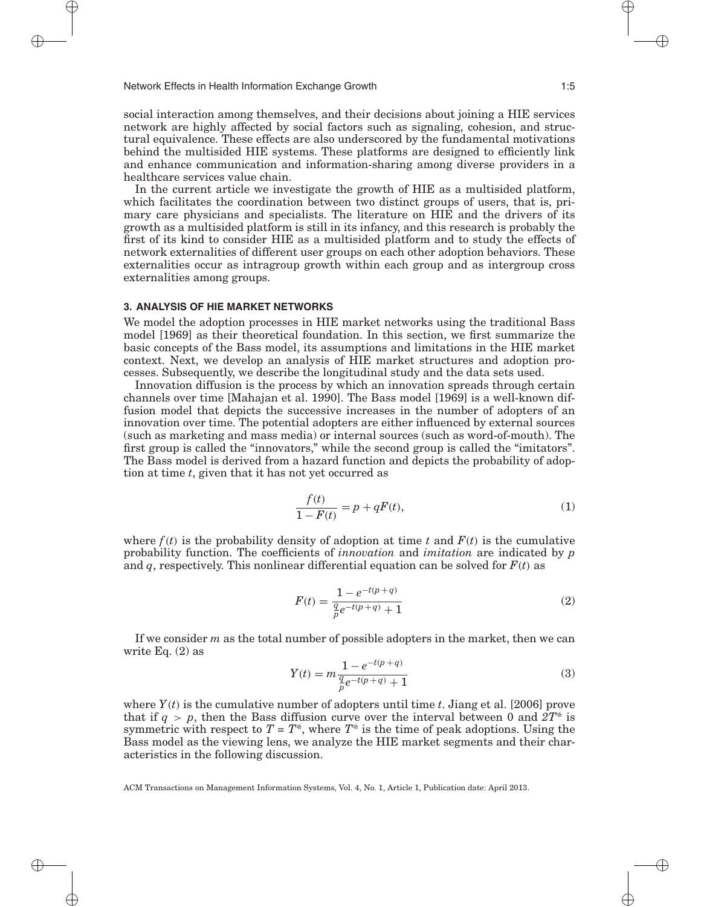social interaction among themselves, and their decisions about joining a HIE services network are highly affected by social factors such as signaling, cohesion, and structural equivalence. These effects are also underscored by the fundamental motivations behind the multisided HIE systems. These platforms are designed to efficiently link and enhance communication and information-sharing among diverse providers in a healthcare services value chain.

In the current article we investigate the growth of HIE as a multisided platform, which facilitates the coordination between two distinct groups of users, that is, primary care physicians and specialists. The literature on HIE and the drivers of its growth as a multisided platform is still in its infancy, and this research is probably the first of its kind to consider HIE as a multisided platform and to study the effects of network externalities of different user groups on each other adoption behaviors. These externalities occur as intragroup growth within each group and as intergroup cross externalities among groups.

## **3. ANALYSIS OF HIE MARKET NETWORKS**

We model the adoption processes in HIE market networks using the traditional Bass model [1969] as their theoretical foundation. In this section, we first summarize the basic concepts of the Bass model, its assumptions and limitations in the HIE market context. Next, we develop an analysis of HIE market structures and adoption processes. Subsequently, we describe the longitudinal study and the data sets used.

Innovation diffusion is the process by which an innovation spreads through certain channels over time [Mahajan et al. 1990]. The Bass model [1969] is a well-known diffusion model that depicts the successive increases in the number of adopters of an innovation over time. The potential adopters are either influenced by external sources (such as marketing and mass media) or internal sources (such as word-of-mouth). The first group is called the "innovators," while the second group is called the "imitators". The Bass model is derived from a hazard function and depicts the probability of adoption at time *t*, given that it has not yet occurred as

$$
\frac{f(t)}{1 - F(t)} = p + qF(t),
$$
\n(1)

where  $f(t)$  is the probability density of adoption at time t and  $F(t)$  is the cumulative probability function. The coefficients of *innovation* and *imitation* are indicated by *p* and *q*, respectively. This nonlinear differential equation can be solved for  $F(t)$  as

$$
F(t) = \frac{1 - e^{-t(p+q)}}{\frac{q}{p}e^{-t(p+q)} + 1}
$$
\n(2)

If we consider *m* as the total number of possible adopters in the market, then we can write Eq. (2) as

$$
Y(t) = m \frac{1 - e^{-t(p+q)}}{\frac{q}{p}e^{-t(p+q)} + 1}
$$
\n(3)

where *Y*(*t*) is the cumulative number of adopters until time *t*. Jiang et al. [2006] prove that if  $q > p$ , then the Bass diffusion curve over the interval between 0 and  $2T^*$  is symmetric with respect to  $T = T^*$ , where  $T^*$  is the time of peak adoptions. Using the Bass model as the viewing lens, we analyze the HIE market segments and their characteristics in the following discussion.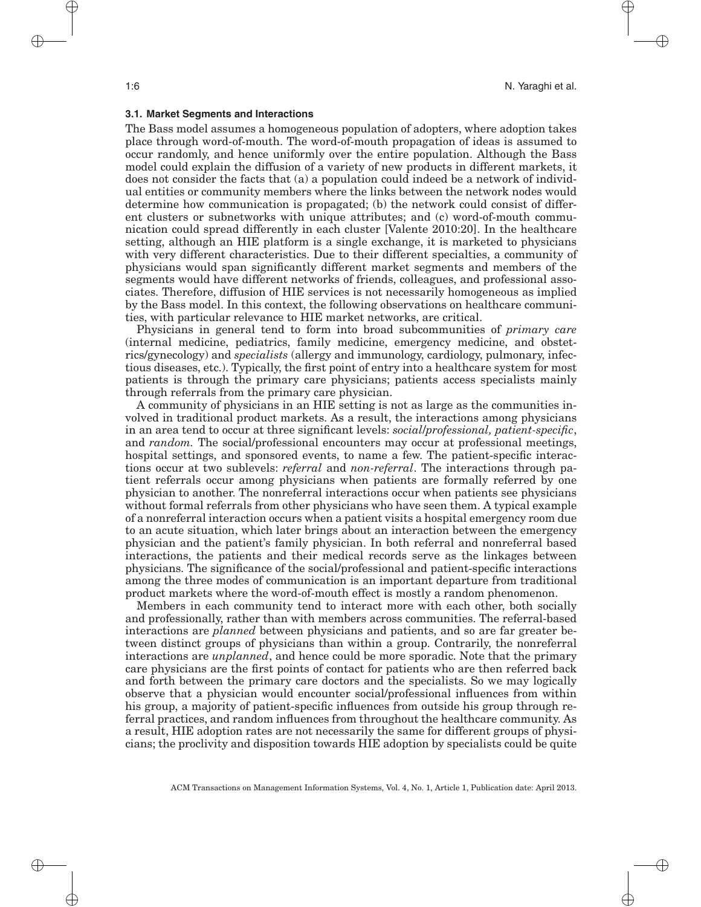#### **3.1. Market Segments and Interactions**

The Bass model assumes a homogeneous population of adopters, where adoption takes place through word-of-mouth. The word-of-mouth propagation of ideas is assumed to occur randomly, and hence uniformly over the entire population. Although the Bass model could explain the diffusion of a variety of new products in different markets, it does not consider the facts that (a) a population could indeed be a network of individual entities or community members where the links between the network nodes would determine how communication is propagated; (b) the network could consist of different clusters or subnetworks with unique attributes; and (c) word-of-mouth communication could spread differently in each cluster [Valente 2010:20]. In the healthcare setting, although an HIE platform is a single exchange, it is marketed to physicians with very different characteristics. Due to their different specialties, a community of physicians would span significantly different market segments and members of the segments would have different networks of friends, colleagues, and professional associates. Therefore, diffusion of HIE services is not necessarily homogeneous as implied by the Bass model. In this context, the following observations on healthcare communities, with particular relevance to HIE market networks, are critical.

Physicians in general tend to form into broad subcommunities of *primary care* (internal medicine, pediatrics, family medicine, emergency medicine, and obstetrics/gynecology) and *specialists* (allergy and immunology, cardiology, pulmonary, infectious diseases, etc.). Typically, the first point of entry into a healthcare system for most patients is through the primary care physicians; patients access specialists mainly through referrals from the primary care physician.

A community of physicians in an HIE setting is not as large as the communities involved in traditional product markets. As a result, the interactions among physicians in an area tend to occur at three significant levels: *social*/*professional, patient-specific*, and *random.* The social/professional encounters may occur at professional meetings, hospital settings, and sponsored events, to name a few. The patient-specific interactions occur at two sublevels: *referral* and *non-referral*. The interactions through patient referrals occur among physicians when patients are formally referred by one physician to another. The nonreferral interactions occur when patients see physicians without formal referrals from other physicians who have seen them. A typical example of a nonreferral interaction occurs when a patient visits a hospital emergency room due to an acute situation, which later brings about an interaction between the emergency physician and the patient's family physician. In both referral and nonreferral based interactions, the patients and their medical records serve as the linkages between physicians. The significance of the social/professional and patient-specific interactions among the three modes of communication is an important departure from traditional product markets where the word-of-mouth effect is mostly a random phenomenon.

Members in each community tend to interact more with each other, both socially and professionally, rather than with members across communities. The referral-based interactions are *planned* between physicians and patients, and so are far greater between distinct groups of physicians than within a group. Contrarily, the nonreferral interactions are *unplanned*, and hence could be more sporadic. Note that the primary care physicians are the first points of contact for patients who are then referred back and forth between the primary care doctors and the specialists. So we may logically observe that a physician would encounter social/professional influences from within his group, a majority of patient-specific influences from outside his group through referral practices, and random influences from throughout the healthcare community. As a result, HIE adoption rates are not necessarily the same for different groups of physicians; the proclivity and disposition towards HIE adoption by specialists could be quite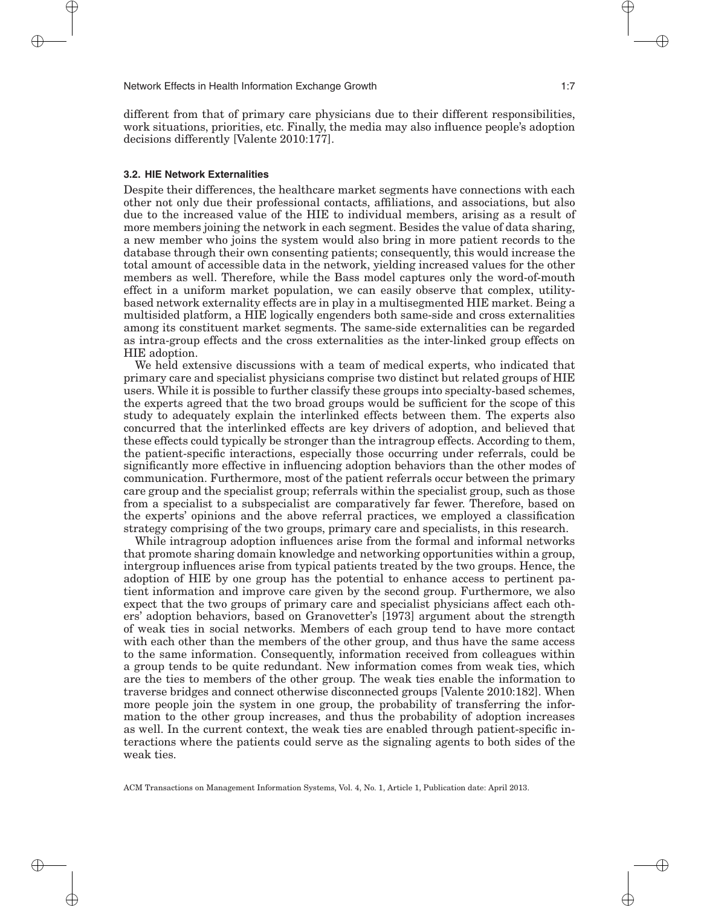different from that of primary care physicians due to their different responsibilities, work situations, priorities, etc. Finally, the media may also influence people's adoption decisions differently [Valente 2010:177].

## **3.2. HIE Network Externalities**

Despite their differences, the healthcare market segments have connections with each other not only due their professional contacts, affiliations, and associations, but also due to the increased value of the HIE to individual members, arising as a result of more members joining the network in each segment. Besides the value of data sharing, a new member who joins the system would also bring in more patient records to the database through their own consenting patients; consequently, this would increase the total amount of accessible data in the network, yielding increased values for the other members as well. Therefore, while the Bass model captures only the word-of-mouth effect in a uniform market population, we can easily observe that complex, utilitybased network externality effects are in play in a multisegmented HIE market. Being a multisided platform, a HIE logically engenders both same-side and cross externalities among its constituent market segments. The same-side externalities can be regarded as intra-group effects and the cross externalities as the inter-linked group effects on HIE adoption.

We held extensive discussions with a team of medical experts, who indicated that primary care and specialist physicians comprise two distinct but related groups of HIE users. While it is possible to further classify these groups into specialty-based schemes, the experts agreed that the two broad groups would be sufficient for the scope of this study to adequately explain the interlinked effects between them. The experts also concurred that the interlinked effects are key drivers of adoption, and believed that these effects could typically be stronger than the intragroup effects. According to them, the patient-specific interactions, especially those occurring under referrals, could be significantly more effective in influencing adoption behaviors than the other modes of communication. Furthermore, most of the patient referrals occur between the primary care group and the specialist group; referrals within the specialist group, such as those from a specialist to a subspecialist are comparatively far fewer. Therefore, based on the experts' opinions and the above referral practices, we employed a classification strategy comprising of the two groups, primary care and specialists, in this research.

While intragroup adoption influences arise from the formal and informal networks that promote sharing domain knowledge and networking opportunities within a group, intergroup influences arise from typical patients treated by the two groups. Hence, the adoption of HIE by one group has the potential to enhance access to pertinent patient information and improve care given by the second group. Furthermore, we also expect that the two groups of primary care and specialist physicians affect each others' adoption behaviors, based on Granovetter's [1973] argument about the strength of weak ties in social networks. Members of each group tend to have more contact with each other than the members of the other group, and thus have the same access to the same information. Consequently, information received from colleagues within a group tends to be quite redundant. New information comes from weak ties, which are the ties to members of the other group. The weak ties enable the information to traverse bridges and connect otherwise disconnected groups [Valente 2010:182]. When more people join the system in one group, the probability of transferring the information to the other group increases, and thus the probability of adoption increases as well. In the current context, the weak ties are enabled through patient-specific interactions where the patients could serve as the signaling agents to both sides of the weak ties.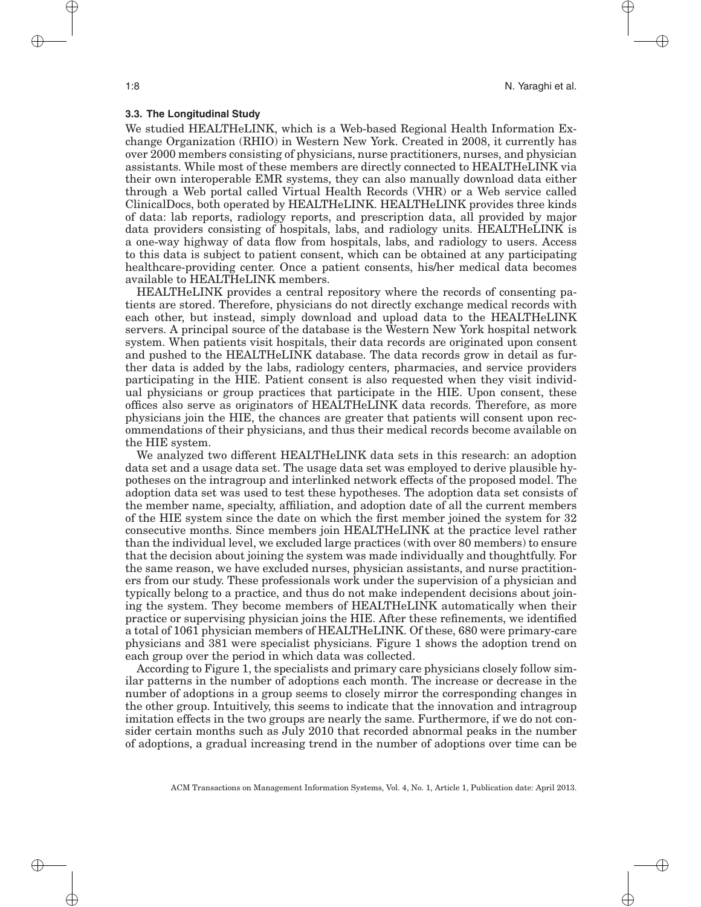## **3.3. The Longitudinal Study**

We studied HEALTHeLINK, which is a Web-based Regional Health Information Exchange Organization (RHIO) in Western New York. Created in 2008, it currently has over 2000 members consisting of physicians, nurse practitioners, nurses, and physician assistants. While most of these members are directly connected to HEALTHeLINK via their own interoperable EMR systems, they can also manually download data either through a Web portal called Virtual Health Records (VHR) or a Web service called ClinicalDocs, both operated by HEALTHeLINK. HEALTHeLINK provides three kinds of data: lab reports, radiology reports, and prescription data, all provided by major data providers consisting of hospitals, labs, and radiology units. HEALTHeLINK is a one-way highway of data flow from hospitals, labs, and radiology to users. Access to this data is subject to patient consent, which can be obtained at any participating healthcare-providing center. Once a patient consents, his/her medical data becomes available to HEALTHeLINK members.

HEALTHeLINK provides a central repository where the records of consenting patients are stored. Therefore, physicians do not directly exchange medical records with each other, but instead, simply download and upload data to the HEALTHeLINK servers. A principal source of the database is the Western New York hospital network system. When patients visit hospitals, their data records are originated upon consent and pushed to the HEALTHeLINK database. The data records grow in detail as further data is added by the labs, radiology centers, pharmacies, and service providers participating in the HIE. Patient consent is also requested when they visit individual physicians or group practices that participate in the HIE. Upon consent, these offices also serve as originators of HEALTHeLINK data records. Therefore, as more physicians join the HIE, the chances are greater that patients will consent upon recommendations of their physicians, and thus their medical records become available on the HIE system.

We analyzed two different HEALTHeLINK data sets in this research: an adoption data set and a usage data set. The usage data set was employed to derive plausible hypotheses on the intragroup and interlinked network effects of the proposed model. The adoption data set was used to test these hypotheses. The adoption data set consists of the member name, specialty, affiliation, and adoption date of all the current members of the HIE system since the date on which the first member joined the system for 32 consecutive months. Since members join HEALTHeLINK at the practice level rather than the individual level, we excluded large practices (with over 80 members) to ensure that the decision about joining the system was made individually and thoughtfully. For the same reason, we have excluded nurses, physician assistants, and nurse practitioners from our study. These professionals work under the supervision of a physician and typically belong to a practice, and thus do not make independent decisions about joining the system. They become members of HEALTHeLINK automatically when their practice or supervising physician joins the HIE. After these refinements, we identified a total of 1061 physician members of HEALTHeLINK. Of these, 680 were primary-care physicians and 381 were specialist physicians. Figure 1 shows the adoption trend on each group over the period in which data was collected.

According to Figure 1, the specialists and primary care physicians closely follow similar patterns in the number of adoptions each month. The increase or decrease in the number of adoptions in a group seems to closely mirror the corresponding changes in the other group. Intuitively, this seems to indicate that the innovation and intragroup imitation effects in the two groups are nearly the same. Furthermore, if we do not consider certain months such as July 2010 that recorded abnormal peaks in the number of adoptions, a gradual increasing trend in the number of adoptions over time can be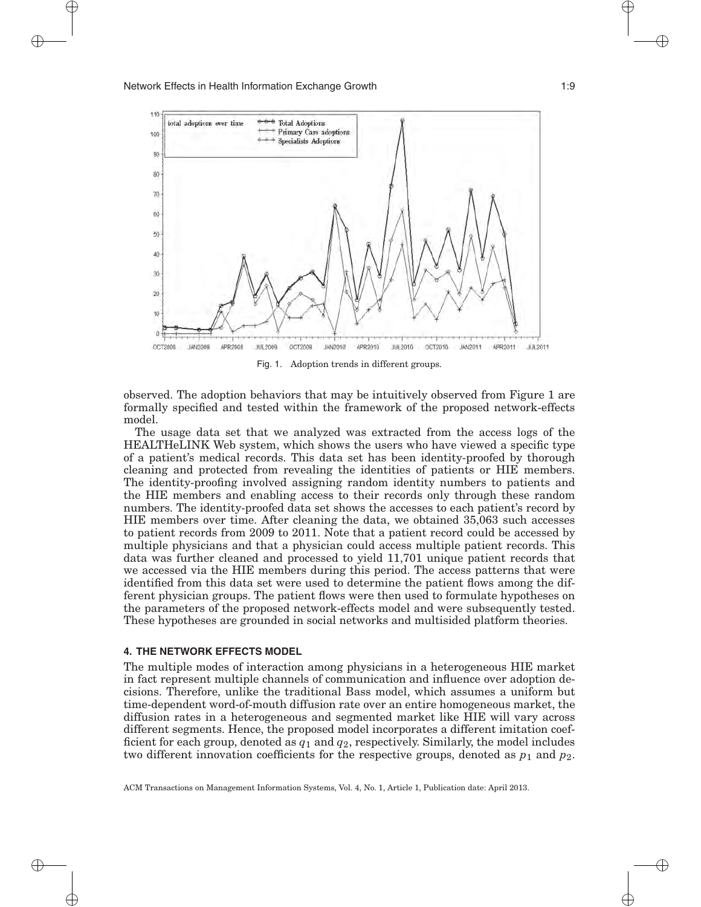

Fig. 1. Adoption trends in different groups.

observed. The adoption behaviors that may be intuitively observed from Figure 1 are formally specified and tested within the framework of the proposed network-effects model.

The usage data set that we analyzed was extracted from the access logs of the HEALTHeLINK Web system, which shows the users who have viewed a specific type of a patient's medical records. This data set has been identity-proofed by thorough cleaning and protected from revealing the identities of patients or HIE members. The identity-proofing involved assigning random identity numbers to patients and the HIE members and enabling access to their records only through these random numbers. The identity-proofed data set shows the accesses to each patient's record by HIE members over time. After cleaning the data, we obtained 35,063 such accesses to patient records from 2009 to 2011. Note that a patient record could be accessed by multiple physicians and that a physician could access multiple patient records. This data was further cleaned and processed to yield 11,701 unique patient records that we accessed via the HIE members during this period. The access patterns that were identified from this data set were used to determine the patient flows among the different physician groups. The patient flows were then used to formulate hypotheses on the parameters of the proposed network-effects model and were subsequently tested. These hypotheses are grounded in social networks and multisided platform theories.

# **4. THE NETWORK EFFECTS MODEL**

The multiple modes of interaction among physicians in a heterogeneous HIE market in fact represent multiple channels of communication and influence over adoption decisions. Therefore, unlike the traditional Bass model, which assumes a uniform but time-dependent word-of-mouth diffusion rate over an entire homogeneous market, the diffusion rates in a heterogeneous and segmented market like HIE will vary across different segments. Hence, the proposed model incorporates a different imitation coefficient for each group, denoted as  $q_1$  and  $q_2$ , respectively. Similarly, the model includes two different innovation coefficients for the respective groups, denoted as  $p_1$  and  $p_2$ .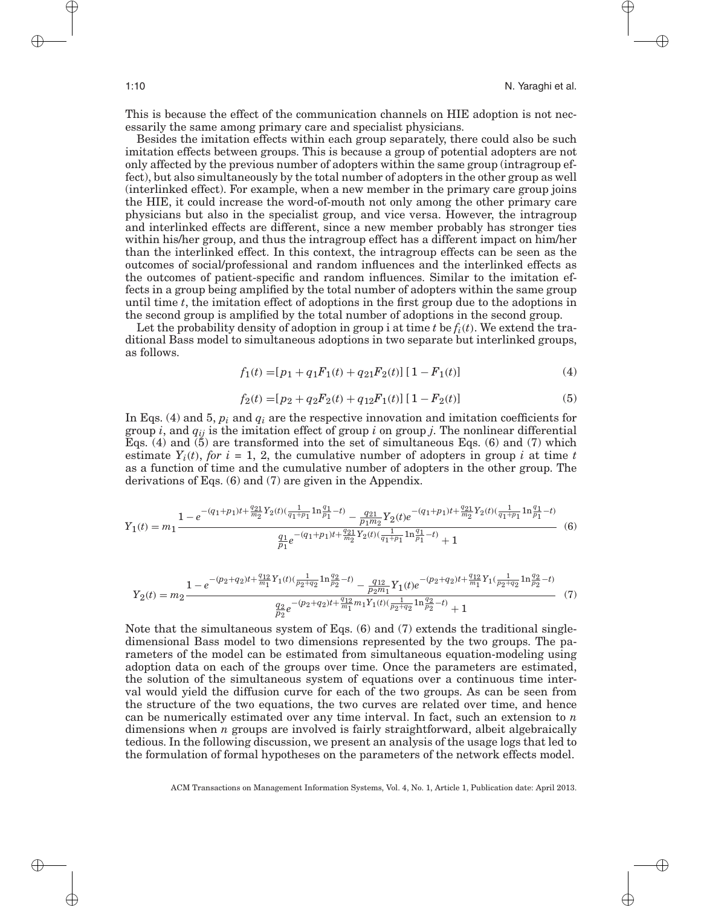This is because the effect of the communication channels on HIE adoption is not necessarily the same among primary care and specialist physicians.

Besides the imitation effects within each group separately, there could also be such imitation effects between groups. This is because a group of potential adopters are not only affected by the previous number of adopters within the same group (intragroup effect), but also simultaneously by the total number of adopters in the other group as well (interlinked effect). For example, when a new member in the primary care group joins the HIE, it could increase the word-of-mouth not only among the other primary care physicians but also in the specialist group, and vice versa. However, the intragroup and interlinked effects are different, since a new member probably has stronger ties within his/her group, and thus the intragroup effect has a different impact on him/her than the interlinked effect. In this context, the intragroup effects can be seen as the outcomes of social/professional and random influences and the interlinked effects as the outcomes of patient-specific and random influences. Similar to the imitation effects in a group being amplified by the total number of adopters within the same group until time *t*, the imitation effect of adoptions in the first group due to the adoptions in the second group is amplified by the total number of adoptions in the second group.

Let the probability density of adoption in group i at time  $t$  be  $f_i(t)$ . We extend the traditional Bass model to simultaneous adoptions in two separate but interlinked groups, as follows.

$$
f_1(t) = [p_1 + q_1 F_1(t) + q_{21} F_2(t)] [1 - F_1(t)] \tag{4}
$$

$$
f_2(t) = [p_2 + q_2 F_2(t) + q_{12} F_1(t)] [1 - F_2(t)] \tag{5}
$$

In Eqs. (4) and 5,  $p_i$  and  $q_i$  are the respective innovation and imitation coefficients for group *i*, and *qij* is the imitation effect of group *i* on group *j*. The nonlinear differential Eqs. (4) and  $(5)$  are transformed into the set of simultaneous Eqs. (6) and (7) which estimate  $Y_i(t)$ , *for*  $i = 1, 2$ , the cumulative number of adopters in group  $i$  at time  $t$ as a function of time and the cumulative number of adopters in the other group. The derivations of Eqs. (6) and (7) are given in the Appendix.

$$
Y_1(t) = m_1 \frac{1 - e^{-(q_1 + p_1)t + \frac{q_2}{m_2}Y_2(t)(\frac{1}{q_1 + p_1}\ln\frac{q_1}{p_1} - t)} - \frac{q_{21}}{p_1 m_2}Y_2(t)e^{-(q_1 + p_1)t + \frac{q_{21}}{m_2}Y_2(t)(\frac{1}{q_1 + p_1}\ln\frac{q_1}{p_1} - t)}}{p_1 e^{-(q_1 + p_1)t + \frac{q_{21}}{m_2}Y_2(t)(\frac{1}{q_1 + p_1}\ln\frac{q_1}{p_1} - t)} + 1} \tag{6}
$$

$$
Y_2(t) = m_2 \frac{1 - e^{-(p_2 + q_2)t + \frac{q_1_2}{m_1}Y_1(t)(\frac{1}{p_2 + q_2} \ln \frac{q_2}{p_2} - t)} - \frac{q_1_2}{p_2 m_1}Y_1(t)e^{-(p_2 + q_2)t + \frac{q_1_2}{m_1}Y_1(\frac{1}{p_2 + q_2} \ln \frac{q_2}{p_2} - t)}{p_2} - \frac{q_2_2}{p_2}e^{-(p_2 + q_2)t + \frac{q_1_2}{m_1}m_1Y_1(t)(\frac{1}{p_2 + q_2} \ln \frac{q_2}{p_2} - t)} + 1}
$$
(7)

Note that the simultaneous system of Eqs. (6) and (7) extends the traditional singledimensional Bass model to two dimensions represented by the two groups. The parameters of the model can be estimated from simultaneous equation-modeling using adoption data on each of the groups over time. Once the parameters are estimated, the solution of the simultaneous system of equations over a continuous time interval would yield the diffusion curve for each of the two groups. As can be seen from the structure of the two equations, the two curves are related over time, and hence can be numerically estimated over any time interval. In fact, such an extension to *n* dimensions when *n* groups are involved is fairly straightforward, albeit algebraically tedious. In the following discussion, we present an analysis of the usage logs that led to the formulation of formal hypotheses on the parameters of the network effects model.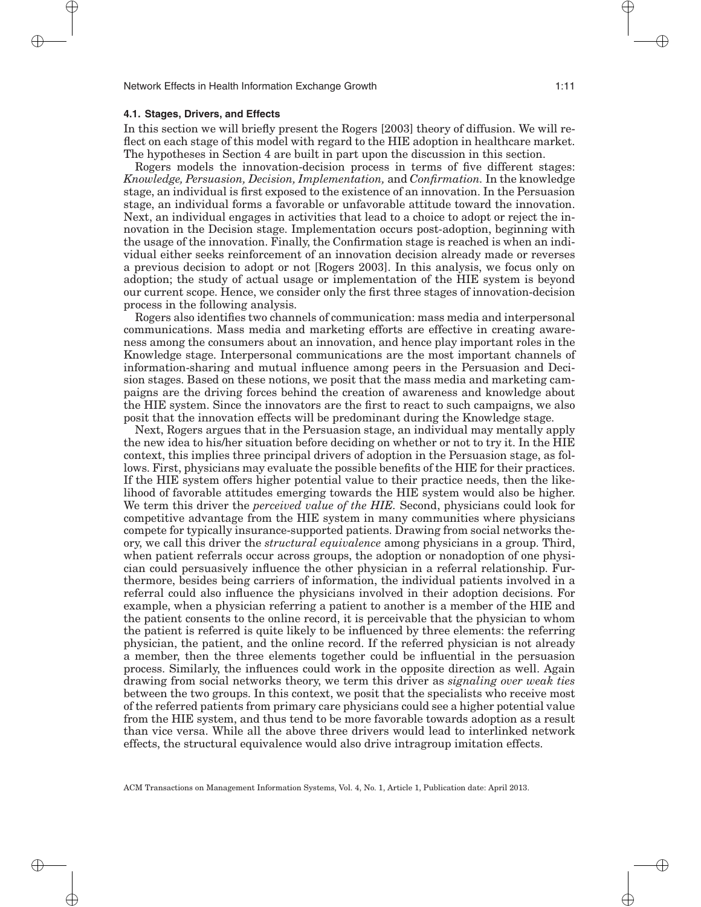#### **4.1. Stages, Drivers, and Effects**

In this section we will briefly present the Rogers [2003] theory of diffusion. We will reflect on each stage of this model with regard to the HIE adoption in healthcare market. The hypotheses in Section 4 are built in part upon the discussion in this section.

Rogers models the innovation-decision process in terms of five different stages: *Knowledge, Persuasion, Decision, Implementation,* and *Confirmation.* In the knowledge stage, an individual is first exposed to the existence of an innovation. In the Persuasion stage, an individual forms a favorable or unfavorable attitude toward the innovation. Next, an individual engages in activities that lead to a choice to adopt or reject the innovation in the Decision stage. Implementation occurs post-adoption, beginning with the usage of the innovation. Finally, the Confirmation stage is reached is when an individual either seeks reinforcement of an innovation decision already made or reverses a previous decision to adopt or not [Rogers 2003]. In this analysis, we focus only on adoption; the study of actual usage or implementation of the HIE system is beyond our current scope. Hence, we consider only the first three stages of innovation-decision process in the following analysis.

Rogers also identifies two channels of communication: mass media and interpersonal communications. Mass media and marketing efforts are effective in creating awareness among the consumers about an innovation, and hence play important roles in the Knowledge stage. Interpersonal communications are the most important channels of information-sharing and mutual influence among peers in the Persuasion and Decision stages. Based on these notions, we posit that the mass media and marketing campaigns are the driving forces behind the creation of awareness and knowledge about the HIE system. Since the innovators are the first to react to such campaigns, we also posit that the innovation effects will be predominant during the Knowledge stage.

Next, Rogers argues that in the Persuasion stage, an individual may mentally apply the new idea to his/her situation before deciding on whether or not to try it. In the HIE context, this implies three principal drivers of adoption in the Persuasion stage, as follows. First, physicians may evaluate the possible benefits of the HIE for their practices. If the HIE system offers higher potential value to their practice needs, then the likelihood of favorable attitudes emerging towards the HIE system would also be higher. We term this driver the *perceived value of the HIE.* Second, physicians could look for competitive advantage from the HIE system in many communities where physicians compete for typically insurance-supported patients. Drawing from social networks theory, we call this driver the *structural equivalence* among physicians in a group. Third, when patient referrals occur across groups, the adoption or nonadoption of one physician could persuasively influence the other physician in a referral relationship. Furthermore, besides being carriers of information, the individual patients involved in a referral could also influence the physicians involved in their adoption decisions. For example, when a physician referring a patient to another is a member of the HIE and the patient consents to the online record, it is perceivable that the physician to whom the patient is referred is quite likely to be influenced by three elements: the referring physician, the patient, and the online record. If the referred physician is not already a member, then the three elements together could be influential in the persuasion process. Similarly, the influences could work in the opposite direction as well. Again drawing from social networks theory, we term this driver as *signaling over weak ties* between the two groups. In this context, we posit that the specialists who receive most of the referred patients from primary care physicians could see a higher potential value from the HIE system, and thus tend to be more favorable towards adoption as a result than vice versa. While all the above three drivers would lead to interlinked network effects, the structural equivalence would also drive intragroup imitation effects.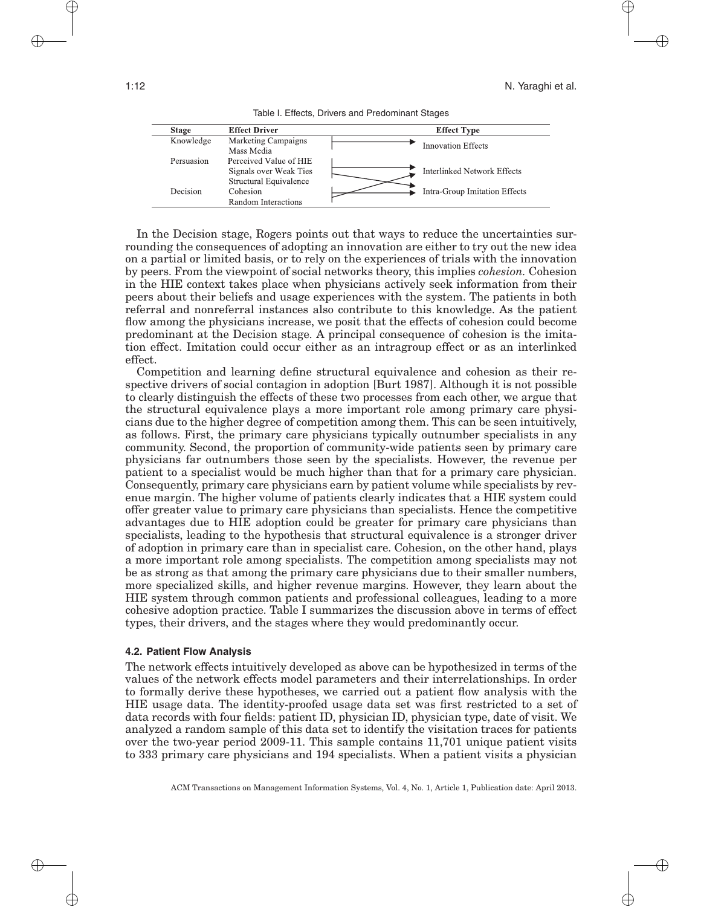Table I. Effects, Drivers and Predominant Stages

| <b>Stage</b> | <b>Effect Driver</b>                                      | <b>Effect Type</b>                 |
|--------------|-----------------------------------------------------------|------------------------------------|
| Knowledge    | Marketing Campaigns<br>Mass Media                         | <b>Innovation Effects</b>          |
| Persuasion   | Perceived Value of HIE<br>Signals over Weak Ties          | <b>Interlinked Network Effects</b> |
| Decision     | Structural Equivalence<br>Cohesion<br>Random Interactions | Intra-Group Imitation Effects      |

In the Decision stage, Rogers points out that ways to reduce the uncertainties surrounding the consequences of adopting an innovation are either to try out the new idea on a partial or limited basis, or to rely on the experiences of trials with the innovation by peers. From the viewpoint of social networks theory, this implies *cohesion.* Cohesion in the HIE context takes place when physicians actively seek information from their peers about their beliefs and usage experiences with the system. The patients in both referral and nonreferral instances also contribute to this knowledge. As the patient flow among the physicians increase, we posit that the effects of cohesion could become predominant at the Decision stage. A principal consequence of cohesion is the imitation effect. Imitation could occur either as an intragroup effect or as an interlinked effect.

Competition and learning define structural equivalence and cohesion as their respective drivers of social contagion in adoption [Burt 1987]. Although it is not possible to clearly distinguish the effects of these two processes from each other, we argue that the structural equivalence plays a more important role among primary care physicians due to the higher degree of competition among them. This can be seen intuitively, as follows. First, the primary care physicians typically outnumber specialists in any community. Second, the proportion of community-wide patients seen by primary care physicians far outnumbers those seen by the specialists. However, the revenue per patient to a specialist would be much higher than that for a primary care physician. Consequently, primary care physicians earn by patient volume while specialists by revenue margin. The higher volume of patients clearly indicates that a HIE system could offer greater value to primary care physicians than specialists. Hence the competitive advantages due to HIE adoption could be greater for primary care physicians than specialists, leading to the hypothesis that structural equivalence is a stronger driver of adoption in primary care than in specialist care. Cohesion, on the other hand, plays a more important role among specialists. The competition among specialists may not be as strong as that among the primary care physicians due to their smaller numbers, more specialized skills, and higher revenue margins. However, they learn about the HIE system through common patients and professional colleagues, leading to a more cohesive adoption practice. Table I summarizes the discussion above in terms of effect types, their drivers, and the stages where they would predominantly occur.

#### **4.2. Patient Flow Analysis**

The network effects intuitively developed as above can be hypothesized in terms of the values of the network effects model parameters and their interrelationships. In order to formally derive these hypotheses, we carried out a patient flow analysis with the HIE usage data. The identity-proofed usage data set was first restricted to a set of data records with four fields: patient ID, physician ID, physician type, date of visit. We analyzed a random sample of this data set to identify the visitation traces for patients over the two-year period 2009-11. This sample contains 11,701 unique patient visits to 333 primary care physicians and 194 specialists. When a patient visits a physician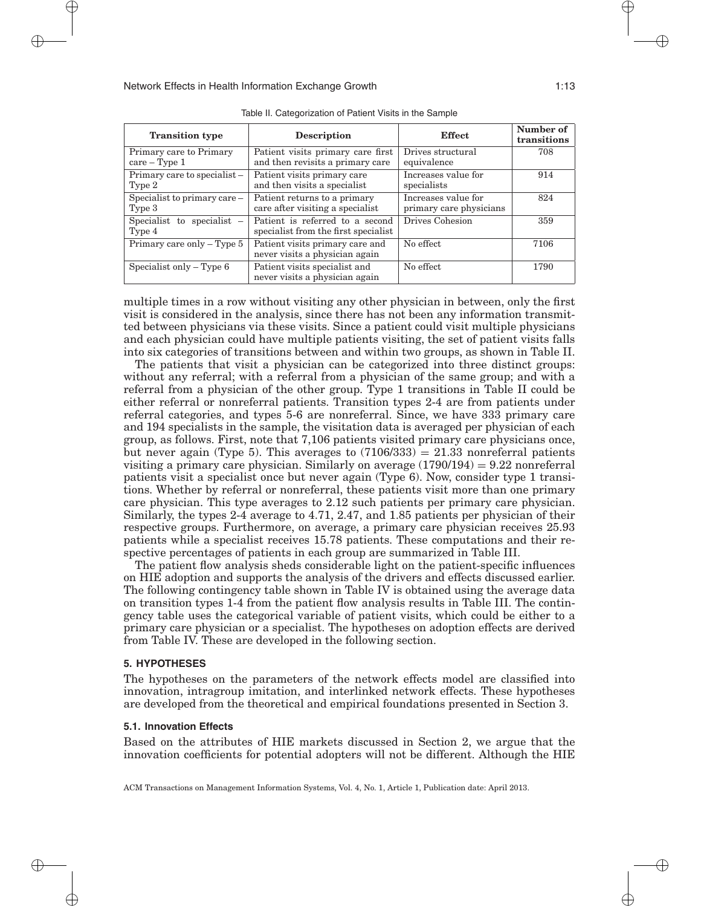| <b>Transition type</b>                     | <b>Description</b>                                                      | <b>Effect</b>                                  | Number of<br>transitions |
|--------------------------------------------|-------------------------------------------------------------------------|------------------------------------------------|--------------------------|
| Primary care to Primary<br>$care - Type 1$ | Patient visits primary care first<br>and then revisits a primary care   | Drives structural<br>equivalence               | 708                      |
| Primary care to specialist –<br>Type 2     | Patient visits primary care<br>and then visits a specialist             | Increases value for<br>specialists             | 914                      |
| Specialist to primary care –<br>Type 3     | Patient returns to a primary<br>care after visiting a specialist        | Increases value for<br>primary care physicians | 824                      |
| Specialist to specialist $-$<br>Type 4     | Patient is referred to a second<br>specialist from the first specialist | Drives Cohesion                                | 359                      |
| Primary care only – Type 5                 | Patient visits primary care and<br>never visits a physician again       | No effect                                      | 7106                     |
| Specialist only $-$ Type 6                 | Patient visits specialist and<br>never visits a physician again         | No effect                                      | 1790                     |

Table II. Categorization of Patient Visits in the Sample

multiple times in a row without visiting any other physician in between, only the first visit is considered in the analysis, since there has not been any information transmitted between physicians via these visits. Since a patient could visit multiple physicians and each physician could have multiple patients visiting, the set of patient visits falls into six categories of transitions between and within two groups, as shown in Table II.

The patients that visit a physician can be categorized into three distinct groups: without any referral; with a referral from a physician of the same group; and with a referral from a physician of the other group. Type 1 transitions in Table II could be either referral or nonreferral patients. Transition types 2-4 are from patients under referral categories, and types 5-6 are nonreferral. Since, we have 333 primary care and 194 specialists in the sample, the visitation data is averaged per physician of each group, as follows. First, note that 7,106 patients visited primary care physicians once, but never again (Type 5). This averages to  $(7106/333) = 21.33$  nonreferral patients visiting a primary care physician. Similarly on average (1790/194) = 9.22 nonreferral patients visit a specialist once but never again (Type 6). Now, consider type 1 transitions. Whether by referral or nonreferral, these patients visit more than one primary care physician. This type averages to 2.12 such patients per primary care physician. Similarly, the types 2-4 average to 4.71, 2.47, and 1.85 patients per physician of their respective groups. Furthermore, on average, a primary care physician receives 25.93 patients while a specialist receives 15.78 patients. These computations and their respective percentages of patients in each group are summarized in Table III.

The patient flow analysis sheds considerable light on the patient-specific influences on HIE adoption and supports the analysis of the drivers and effects discussed earlier. The following contingency table shown in Table IV is obtained using the average data on transition types 1-4 from the patient flow analysis results in Table III. The contingency table uses the categorical variable of patient visits, which could be either to a primary care physician or a specialist. The hypotheses on adoption effects are derived from Table IV. These are developed in the following section.

# **5. HYPOTHESES**

The hypotheses on the parameters of the network effects model are classified into innovation, intragroup imitation, and interlinked network effects. These hypotheses are developed from the theoretical and empirical foundations presented in Section 3.

## **5.1. Innovation Effects**

Based on the attributes of HIE markets discussed in Section 2, we argue that the innovation coefficients for potential adopters will not be different. Although the HIE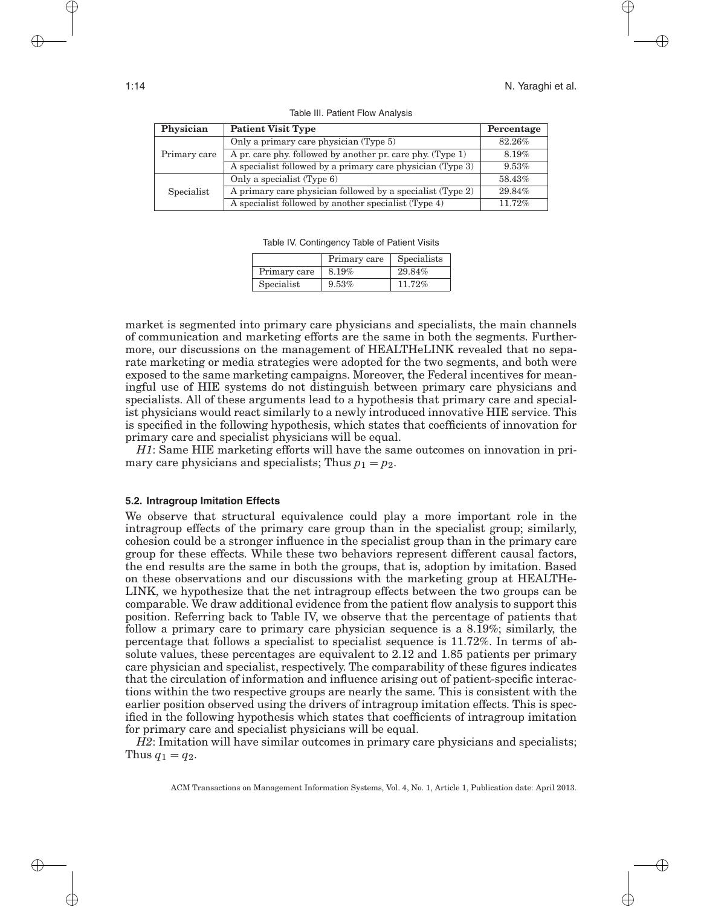| Physician<br><b>Patient Visit Type</b> |                                                            | Percentage |
|----------------------------------------|------------------------------------------------------------|------------|
|                                        | Only a primary care physician (Type 5)                     | 82.26%     |
| Primary care                           | A pr. care phy. followed by another pr. care phy. (Type 1) | 8.19%      |
|                                        | A specialist followed by a primary care physician (Type 3) | 9.53%      |
|                                        | Only a specialist (Type 6)                                 | 58.43%     |
| Specialist                             | A primary care physician followed by a specialist (Type 2) | 29.84%     |
|                                        | A specialist followed by another specialist (Type 4)       | 11.72%     |

Table III. Patient Flow Analysis

Table IV. Contingency Table of Patient Visits

|              | Primary care | Specialists |
|--------------|--------------|-------------|
| Primary care | 8.19%        | 29.84%      |
| Specialist   | 9.53%        | 11.72%      |

market is segmented into primary care physicians and specialists, the main channels of communication and marketing efforts are the same in both the segments. Furthermore, our discussions on the management of HEALTHeLINK revealed that no separate marketing or media strategies were adopted for the two segments, and both were exposed to the same marketing campaigns. Moreover, the Federal incentives for meaningful use of HIE systems do not distinguish between primary care physicians and specialists. All of these arguments lead to a hypothesis that primary care and specialist physicians would react similarly to a newly introduced innovative HIE service. This is specified in the following hypothesis, which states that coefficients of innovation for primary care and specialist physicians will be equal.

*H1*: Same HIE marketing efforts will have the same outcomes on innovation in primary care physicians and specialists; Thus  $p_1 = p_2$ .

## **5.2. Intragroup Imitation Effects**

We observe that structural equivalence could play a more important role in the intragroup effects of the primary care group than in the specialist group; similarly, cohesion could be a stronger influence in the specialist group than in the primary care group for these effects. While these two behaviors represent different causal factors, the end results are the same in both the groups, that is, adoption by imitation. Based on these observations and our discussions with the marketing group at HEALTHe-LINK, we hypothesize that the net intragroup effects between the two groups can be comparable. We draw additional evidence from the patient flow analysis to support this position. Referring back to Table IV, we observe that the percentage of patients that follow a primary care to primary care physician sequence is a 8.19%; similarly, the percentage that follows a specialist to specialist sequence is 11.72%. In terms of absolute values, these percentages are equivalent to 2.12 and 1.85 patients per primary care physician and specialist, respectively. The comparability of these figures indicates that the circulation of information and influence arising out of patient-specific interactions within the two respective groups are nearly the same. This is consistent with the earlier position observed using the drivers of intragroup imitation effects. This is specified in the following hypothesis which states that coefficients of intragroup imitation for primary care and specialist physicians will be equal.

*H2*: Imitation will have similar outcomes in primary care physicians and specialists; Thus  $q_1 = q_2$ .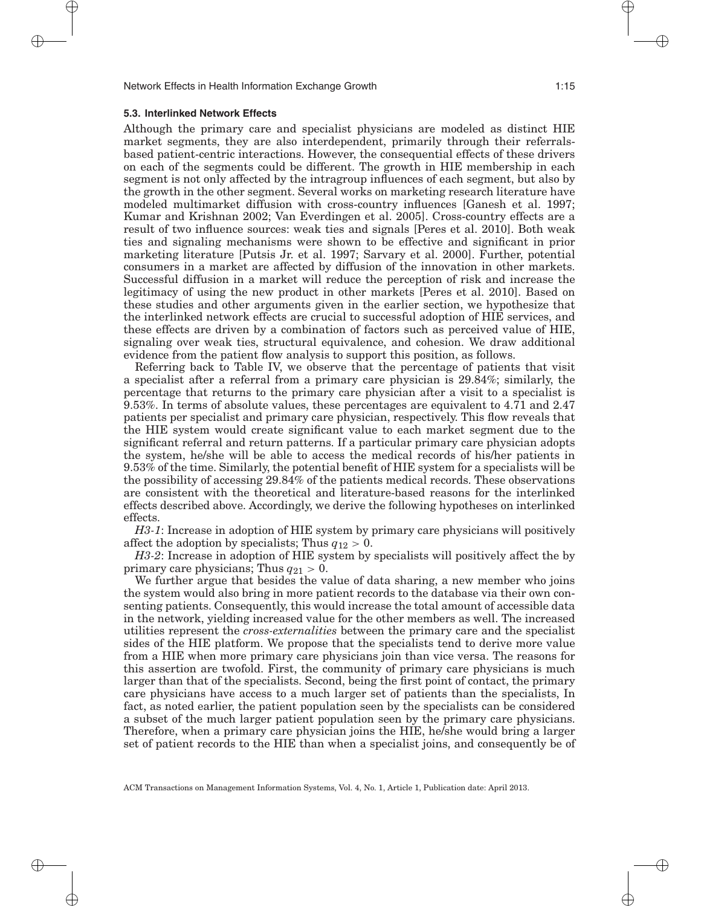#### **5.3. Interlinked Network Effects**

Although the primary care and specialist physicians are modeled as distinct HIE market segments, they are also interdependent, primarily through their referralsbased patient-centric interactions. However, the consequential effects of these drivers on each of the segments could be different. The growth in HIE membership in each segment is not only affected by the intragroup influences of each segment, but also by the growth in the other segment. Several works on marketing research literature have modeled multimarket diffusion with cross-country influences [Ganesh et al. 1997; Kumar and Krishnan 2002; Van Everdingen et al. 2005]. Cross-country effects are a result of two influence sources: weak ties and signals [Peres et al. 2010]. Both weak ties and signaling mechanisms were shown to be effective and significant in prior marketing literature [Putsis Jr. et al. 1997; Sarvary et al. 2000]. Further, potential consumers in a market are affected by diffusion of the innovation in other markets. Successful diffusion in a market will reduce the perception of risk and increase the legitimacy of using the new product in other markets [Peres et al. 2010]. Based on these studies and other arguments given in the earlier section, we hypothesize that the interlinked network effects are crucial to successful adoption of HIE services, and these effects are driven by a combination of factors such as perceived value of HIE, signaling over weak ties, structural equivalence, and cohesion. We draw additional evidence from the patient flow analysis to support this position, as follows.

Referring back to Table IV, we observe that the percentage of patients that visit a specialist after a referral from a primary care physician is 29.84%; similarly, the percentage that returns to the primary care physician after a visit to a specialist is 9.53%. In terms of absolute values, these percentages are equivalent to 4.71 and 2.47 patients per specialist and primary care physician, respectively. This flow reveals that the HIE system would create significant value to each market segment due to the significant referral and return patterns. If a particular primary care physician adopts the system, he/she will be able to access the medical records of his/her patients in 9.53% of the time. Similarly, the potential benefit of HIE system for a specialists will be the possibility of accessing 29.84% of the patients medical records. These observations are consistent with the theoretical and literature-based reasons for the interlinked effects described above. Accordingly, we derive the following hypotheses on interlinked effects.

*H3-1*: Increase in adoption of HIE system by primary care physicians will positively affect the adoption by specialists; Thus  $q_{12} > 0$ .

*H3-2*: Increase in adoption of HIE system by specialists will positively affect the by primary care physicians; Thus  $q_{21} > 0$ .

We further argue that besides the value of data sharing, a new member who joins the system would also bring in more patient records to the database via their own consenting patients. Consequently, this would increase the total amount of accessible data in the network, yielding increased value for the other members as well. The increased utilities represent the *cross-externalities* between the primary care and the specialist sides of the HIE platform. We propose that the specialists tend to derive more value from a HIE when more primary care physicians join than vice versa. The reasons for this assertion are twofold. First, the community of primary care physicians is much larger than that of the specialists. Second, being the first point of contact, the primary care physicians have access to a much larger set of patients than the specialists, In fact, as noted earlier, the patient population seen by the specialists can be considered a subset of the much larger patient population seen by the primary care physicians. Therefore, when a primary care physician joins the HIE, he/she would bring a larger set of patient records to the HIE than when a specialist joins, and consequently be of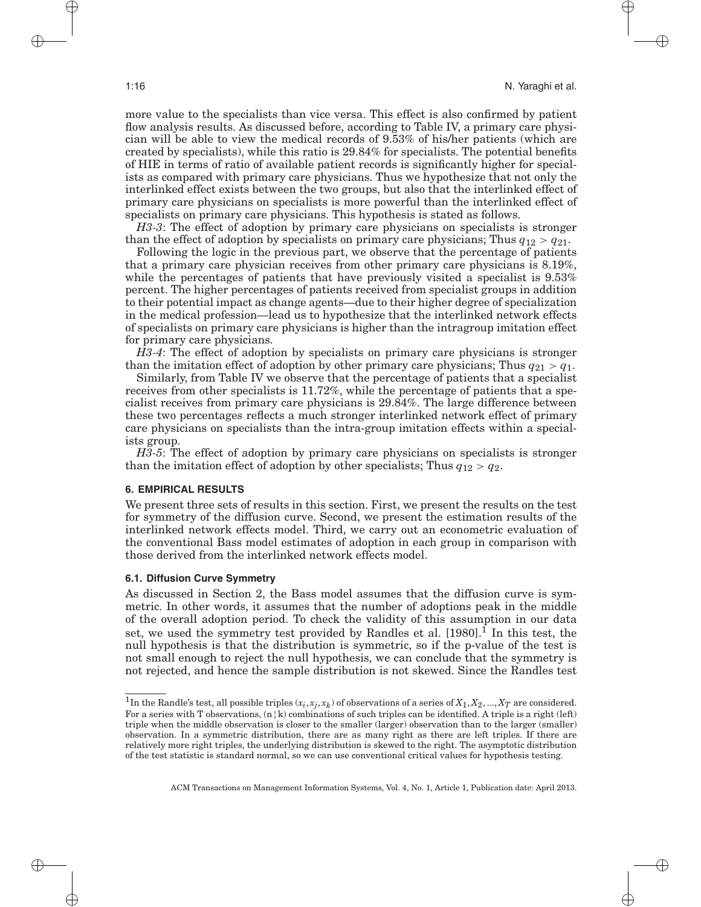more value to the specialists than vice versa. This effect is also confirmed by patient flow analysis results. As discussed before, according to Table IV, a primary care physician will be able to view the medical records of 9.53% of his/her patients (which are created by specialists), while this ratio is 29.84% for specialists. The potential benefits of HIE in terms of ratio of available patient records is significantly higher for specialists as compared with primary care physicians. Thus we hypothesize that not only the interlinked effect exists between the two groups, but also that the interlinked effect of primary care physicians on specialists is more powerful than the interlinked effect of specialists on primary care physicians. This hypothesis is stated as follows.

*H3-3*: The effect of adoption by primary care physicians on specialists is stronger than the effect of adoption by specialists on primary care physicians; Thus  $q_{12} > q_{21}$ .

Following the logic in the previous part, we observe that the percentage of patients that a primary care physician receives from other primary care physicians is 8.19%, while the percentages of patients that have previously visited a specialist is 9.53% percent. The higher percentages of patients received from specialist groups in addition to their potential impact as change agents—due to their higher degree of specialization in the medical profession—lead us to hypothesize that the interlinked network effects of specialists on primary care physicians is higher than the intragroup imitation effect for primary care physicians.

*H3-4*: The effect of adoption by specialists on primary care physicians is stronger than the imitation effect of adoption by other primary care physicians; Thus  $q_{21} > q_1$ .

Similarly, from Table IV we observe that the percentage of patients that a specialist receives from other specialists is 11.72%, while the percentage of patients that a specialist receives from primary care physicians is 29.84%. The large difference between these two percentages reflects a much stronger interlinked network effect of primary care physicians on specialists than the intra-group imitation effects within a specialists group.

*H3-5*: The effect of adoption by primary care physicians on specialists is stronger than the imitation effect of adoption by other specialists; Thus  $q_{12} > q_2$ .

# **6. EMPIRICAL RESULTS**

We present three sets of results in this section. First, we present the results on the test for symmetry of the diffusion curve. Second, we present the estimation results of the interlinked network effects model. Third, we carry out an econometric evaluation of the conventional Bass model estimates of adoption in each group in comparison with those derived from the interlinked network effects model.

# **6.1. Diffusion Curve Symmetry**

As discussed in Section 2, the Bass model assumes that the diffusion curve is symmetric. In other words, it assumes that the number of adoptions peak in the middle of the overall adoption period. To check the validity of this assumption in our data set, we used the symmetry test provided by Randles et al.  $[1980]$ <sup>1</sup>. In this test, the null hypothesis is that the distribution is symmetric, so if the p-value of the test is not small enough to reject the null hypothesis, we can conclude that the symmetry is not rejected, and hence the sample distribution is not skewed. Since the Randles test

<sup>&</sup>lt;sup>1</sup>In the Randle's test, all possible triples  $(x_i, x_j, x_k)$  of observations of a series of  $X_1, X_2, ..., X_T$  are considered. For a series with T observations,  $(n|k)$  combinations of such triples can be identified. A triple is a right (left) triple when the middle observation is closer to the smaller (larger) observation than to the larger (smaller) observation. In a symmetric distribution, there are as many right as there are left triples. If there are relatively more right triples, the underlying distribution is skewed to the right. The asymptotic distribution of the test statistic is standard normal, so we can use conventional critical values for hypothesis testing.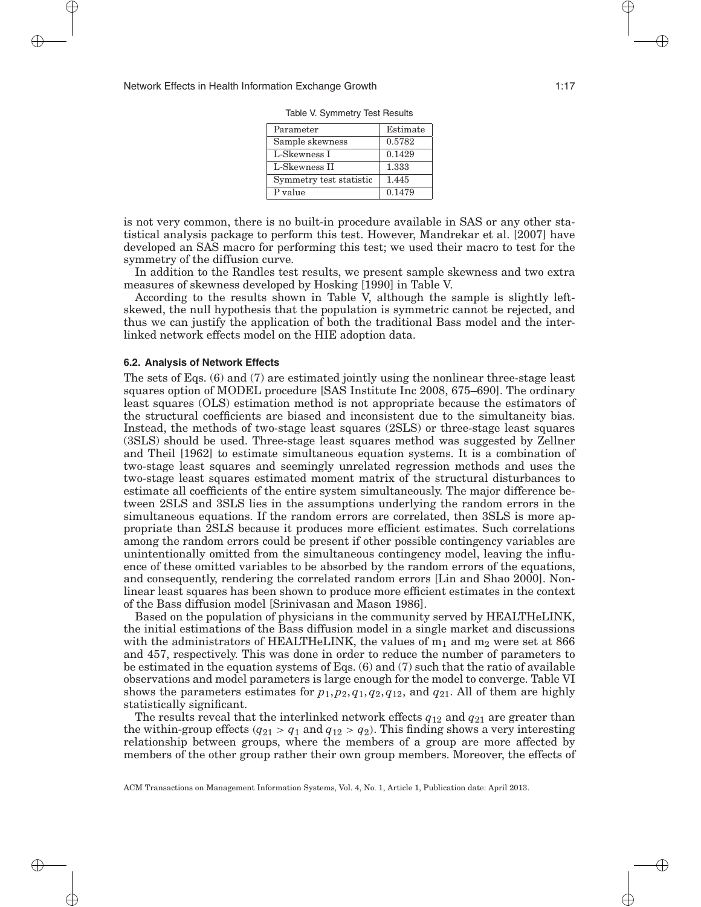| Parameter               | Estimate |
|-------------------------|----------|
| Sample skewness         | 0.5782   |
| L-Skewness I            | 0.1429   |
| L-Skewness II           | 1.333    |
| Symmetry test statistic | 1.445    |
| P value                 | 0.1479   |

Table V. Symmetry Test Results

is not very common, there is no built-in procedure available in SAS or any other statistical analysis package to perform this test. However, Mandrekar et al. [2007] have developed an SAS macro for performing this test; we used their macro to test for the symmetry of the diffusion curve.

In addition to the Randles test results, we present sample skewness and two extra measures of skewness developed by Hosking [1990] in Table V.

According to the results shown in Table V, although the sample is slightly leftskewed, the null hypothesis that the population is symmetric cannot be rejected, and thus we can justify the application of both the traditional Bass model and the interlinked network effects model on the HIE adoption data.

#### **6.2. Analysis of Network Effects**

The sets of Eqs. (6) and (7) are estimated jointly using the nonlinear three-stage least squares option of MODEL procedure [SAS Institute Inc 2008, 675–690]. The ordinary least squares (OLS) estimation method is not appropriate because the estimators of the structural coefficients are biased and inconsistent due to the simultaneity bias. Instead, the methods of two-stage least squares (2SLS) or three-stage least squares (3SLS) should be used. Three-stage least squares method was suggested by Zellner and Theil [1962] to estimate simultaneous equation systems. It is a combination of two-stage least squares and seemingly unrelated regression methods and uses the two-stage least squares estimated moment matrix of the structural disturbances to estimate all coefficients of the entire system simultaneously. The major difference between 2SLS and 3SLS lies in the assumptions underlying the random errors in the simultaneous equations. If the random errors are correlated, then 3SLS is more appropriate than 2SLS because it produces more efficient estimates. Such correlations among the random errors could be present if other possible contingency variables are unintentionally omitted from the simultaneous contingency model, leaving the influence of these omitted variables to be absorbed by the random errors of the equations, and consequently, rendering the correlated random errors [Lin and Shao 2000]. Nonlinear least squares has been shown to produce more efficient estimates in the context of the Bass diffusion model [Srinivasan and Mason 1986].

Based on the population of physicians in the community served by HEALTHeLINK, the initial estimations of the Bass diffusion model in a single market and discussions with the administrators of HEALTHeLINK, the values of  $m_1$  and  $m_2$  were set at 866 and 457, respectively. This was done in order to reduce the number of parameters to be estimated in the equation systems of Eqs.  $(6)$  and  $(7)$  such that the ratio of available observations and model parameters is large enough for the model to converge. Table VI shows the parameters estimates for  $p_1$ ,  $p_2$ ,  $q_1$ ,  $q_2$ ,  $q_1$ <sub>2</sub>, and  $q_2$ <sub>1</sub>. All of them are highly statistically significant.

The results reveal that the interlinked network effects *q*<sup>12</sup> and *q*<sup>21</sup> are greater than the within-group effects ( $q_{21} > q_1$  and  $q_{12} > q_2$ ). This finding shows a very interesting relationship between groups, where the members of a group are more affected by members of the other group rather their own group members. Moreover, the effects of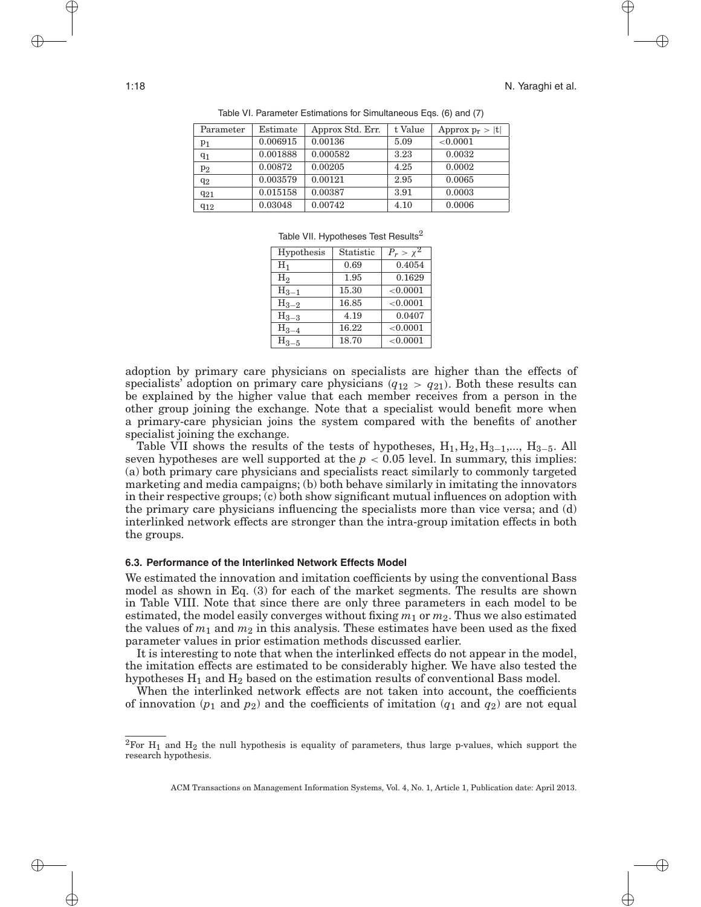| Parameter | Estimate | Approx Std. Err. | t Value | Approx $p_r >  t $ |
|-----------|----------|------------------|---------|--------------------|
| $p_1$     | 0.006915 | 0.00136          | 5.09    | < 0.0001           |
| $q_1$     | 0.001888 | 0.000582         | 3.23    | 0.0032             |
| $p_2$     | 0.00872  | 0.00205          | 4.25    | 0.0002             |
| $q_2$     | 0.003579 | 0.00121          | 2.95    | 0.0065             |
| $q_{21}$  | 0.015158 | 0.00387          | 3.91    | 0.0003             |
| $q_{12}$  | 0.03048  | 0.00742          | 4.10    | 0.0006             |

Table VI. Parameter Estimations for Simultaneous Eqs. (6) and (7)

Table VII. Hypotheses Test Results $^2$ 

| Hypothesis     | Statistic | $P_r > \chi^2$ |
|----------------|-----------|----------------|
| $H_1$          | 0.69      | 0.4054         |
| H <sub>2</sub> | 1.95      | 0.1629         |
| $H_{3-1}$      | 15.30     | < 0.0001       |
| $H_{3-2}$      | 16.85     | < 0.0001       |
| $H_{3-3}$      | 4.19      | 0.0407         |
| $H_{3-4}$      | 16.22     | < 0.0001       |
| $H_{3-5}$      | 18.70     | < 0.0001       |

adoption by primary care physicians on specialists are higher than the effects of specialists' adoption on primary care physicians  $(q_{12} > q_{21})$ . Both these results can be explained by the higher value that each member receives from a person in the other group joining the exchange. Note that a specialist would benefit more when a primary-care physician joins the system compared with the benefits of another specialist joining the exchange.

Table VII shows the results of the tests of hypotheses,  $H_1, H_2, H_{3-1},..., H_{3-5}$ . All seven hypotheses are well supported at the  $p < 0.05$  level. In summary, this implies: (a) both primary care physicians and specialists react similarly to commonly targeted marketing and media campaigns; (b) both behave similarly in imitating the innovators in their respective groups; (c) both show significant mutual influences on adoption with the primary care physicians influencing the specialists more than vice versa; and (d) interlinked network effects are stronger than the intra-group imitation effects in both the groups.

# **6.3. Performance of the Interlinked Network Effects Model**

We estimated the innovation and imitation coefficients by using the conventional Bass model as shown in Eq. (3) for each of the market segments. The results are shown in Table VIII. Note that since there are only three parameters in each model to be estimated, the model easily converges without fixing  $m_1$  or  $m_2$ . Thus we also estimated the values of  $m_1$  and  $m_2$  in this analysis. These estimates have been used as the fixed parameter values in prior estimation methods discussed earlier.

It is interesting to note that when the interlinked effects do not appear in the model, the imitation effects are estimated to be considerably higher. We have also tested the hypotheses  $H_1$  and  $H_2$  based on the estimation results of conventional Bass model.

When the interlinked network effects are not taken into account, the coefficients of innovation  $(p_1 \text{ and } p_2)$  and the coefficients of imitation  $(q_1 \text{ and } q_2)$  are not equal

 ${}^{2}$ For H<sub>1</sub> and H<sub>2</sub> the null hypothesis is equality of parameters, thus large p-values, which support the research hypothesis.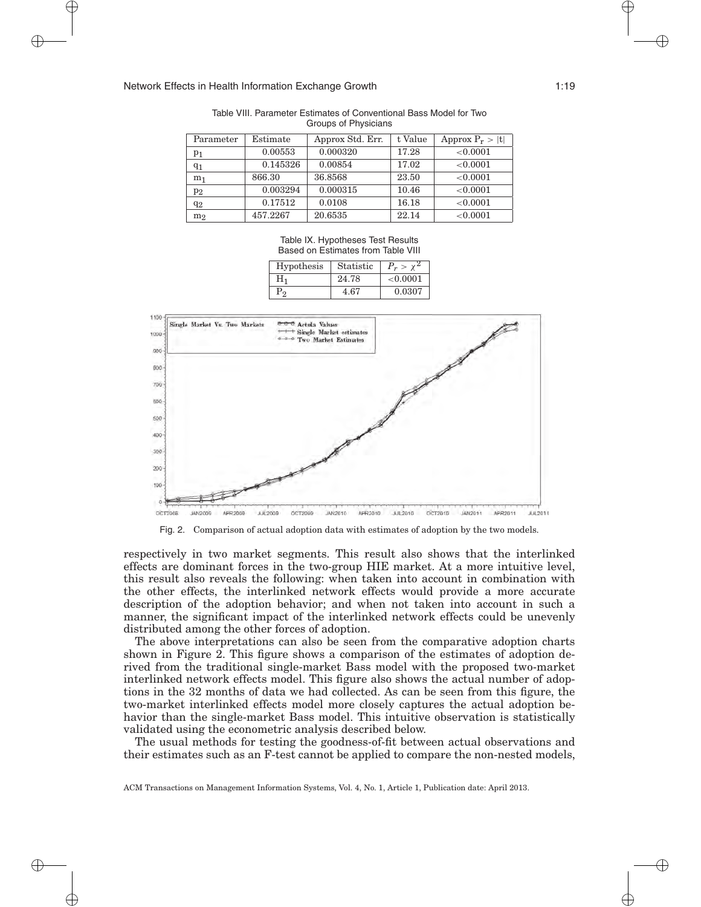| Parameter      | Estimate | Approx Std. Err. | t Value | Approx $P_r >  t $ |
|----------------|----------|------------------|---------|--------------------|
| p <sub>1</sub> | 0.00553  | 0.000320         | 17.28   | < 0.0001           |
| $q_1$          | 0.145326 | 0.00854          | 17.02   | < 0.0001           |
| m <sub>1</sub> | 866.30   | 36.8568          | 23.50   | < 0.0001           |
| p <sub>2</sub> | 0.003294 | 0.000315         | 10.46   | < 0.0001           |
| $q_2$          | 0.17512  | 0.0108           | 16.18   | < 0.0001           |
| m <sub>2</sub> | 457.2267 | 20.6535          | 22.14   | ${<}0.0001$        |

Table VIII. Parameter Estimates of Conventional Bass Model for Two Groups of Physicians

Table IX. Hypotheses Test Results Based on Estimates from Table VIII

| Hypothesis | Statistic | $P_r > \chi$ |
|------------|-----------|--------------|
|            | 24.78     | ${<}0.0001$  |
| P,         | 4.67      | 0.0307       |



Fig. 2. Comparison of actual adoption data with estimates of adoption by the two models.

respectively in two market segments. This result also shows that the interlinked effects are dominant forces in the two-group HIE market. At a more intuitive level, this result also reveals the following: when taken into account in combination with the other effects, the interlinked network effects would provide a more accurate description of the adoption behavior; and when not taken into account in such a manner, the significant impact of the interlinked network effects could be unevenly distributed among the other forces of adoption.

The above interpretations can also be seen from the comparative adoption charts shown in Figure 2. This figure shows a comparison of the estimates of adoption derived from the traditional single-market Bass model with the proposed two-market interlinked network effects model. This figure also shows the actual number of adoptions in the 32 months of data we had collected. As can be seen from this figure, the two-market interlinked effects model more closely captures the actual adoption behavior than the single-market Bass model. This intuitive observation is statistically validated using the econometric analysis described below.

The usual methods for testing the goodness-of-fit between actual observations and their estimates such as an F-test cannot be applied to compare the non-nested models,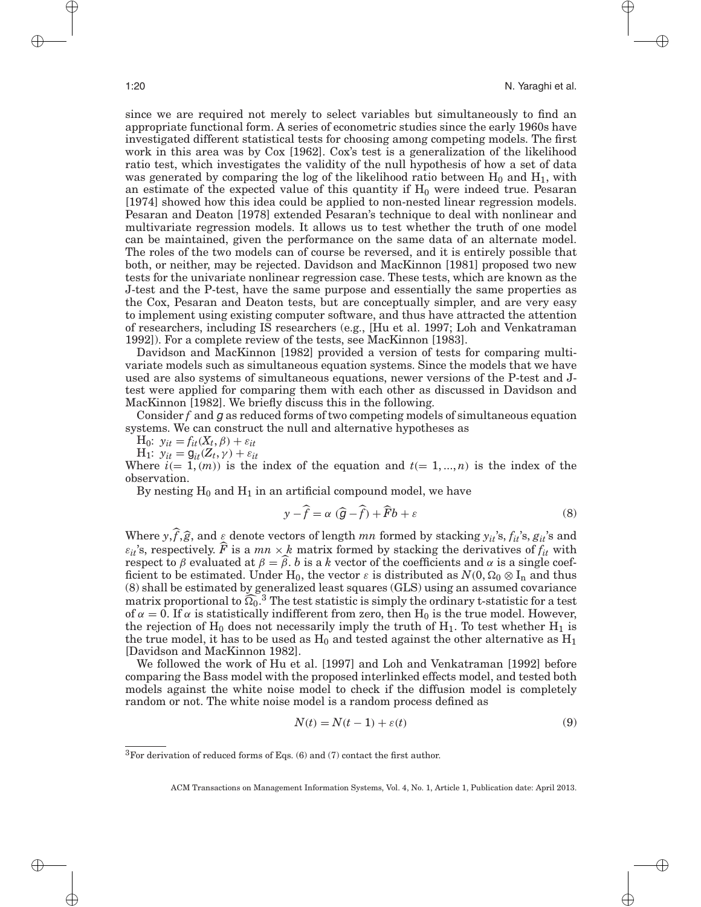since we are required not merely to select variables but simultaneously to find an appropriate functional form. A series of econometric studies since the early 1960s have investigated different statistical tests for choosing among competing models. The first work in this area was by Cox [1962]. Cox's test is a generalization of the likelihood ratio test, which investigates the validity of the null hypothesis of how a set of data was generated by comparing the log of the likelihood ratio between  $H_0$  and  $H_1$ , with an estimate of the expected value of this quantity if  $H_0$  were indeed true. Pesaran [1974] showed how this idea could be applied to non-nested linear regression models. Pesaran and Deaton [1978] extended Pesaran's technique to deal with nonlinear and multivariate regression models. It allows us to test whether the truth of one model can be maintained, given the performance on the same data of an alternate model. The roles of the two models can of course be reversed, and it is entirely possible that both, or neither, may be rejected. Davidson and MacKinnon [1981] proposed two new tests for the univariate nonlinear regression case. These tests, which are known as the J-test and the P-test, have the same purpose and essentially the same properties as the Cox, Pesaran and Deaton tests, but are conceptually simpler, and are very easy to implement using existing computer software, and thus have attracted the attention of researchers, including IS researchers (e.g., [Hu et al. 1997; Loh and Venkatraman 1992]). For a complete review of the tests, see MacKinnon [1983].

Davidson and MacKinnon [1982] provided a version of tests for comparing multivariate models such as simultaneous equation systems. Since the models that we have used are also systems of simultaneous equations, newer versions of the P-test and Jtest were applied for comparing them with each other as discussed in Davidson and MacKinnon [1982]. We briefly discuss this in the following.

Consider *f* and g as reduced forms of two competing models of simultaneous equation systems. We can construct the null and alternative hypotheses as

H<sub>0</sub>:  $y_{it} = f_{it}(X_t, \beta) + \varepsilon_{it}$ 

H<sub>1</sub>:  $y_{it} = \mathbf{g}_{it}(Z_t, \gamma) + \varepsilon_{it}$ 

Where  $i(= 1, (m))$  is the index of the equation and  $t(= 1, ..., n)$  is the index of the observation.

By nesting  $H_0$  and  $H_1$  in an artificial compound model, we have

$$
y - \hat{f} = \alpha \left(\hat{g} - \hat{f}\right) + \hat{F}b + \varepsilon \tag{8}
$$

Where  $y, f, \hat{g}$ , and  $\varepsilon$  denote vectors of length *mn* formed by stacking  $y_{it}$ 's,  $f_{it}$ 's,  $g_{it}$ 's and  $\varepsilon_{it}$ 's, respectively. F is a *mn*  $\times$  *k* matrix formed by stacking the derivatives of  $f_{it}$  with respect to β evaluated at  $\beta = \beta$ , *b* is a *k* vector of the coefficients and  $\alpha$  is a single coefficient to be estimated. Under H<sub>0</sub>, the vector  $\varepsilon$  is distributed as  $N(0, \Omega_0 \otimes I_n$  and thus (8) shall be estimated by generalized least squares (GLS) using an assumed covariance matrix proportional to  $\widehat{\Omega_0}$ .<sup>3</sup> The test statistic is simply the ordinary t-statistic for a test of  $\alpha = 0$ . If  $\alpha$  is statistically indifferent from zero, then H<sub>0</sub> is the true model. However, the rejection of  $H_0$  does not necessarily imply the truth of  $H_1$ . To test whether  $H_1$  is the true model, it has to be used as  $H_0$  and tested against the other alternative as  $H_1$ [Davidson and MacKinnon 1982].

We followed the work of Hu et al. [1997] and Loh and Venkatraman [1992] before comparing the Bass model with the proposed interlinked effects model, and tested both models against the white noise model to check if the diffusion model is completely random or not. The white noise model is a random process defined as

$$
N(t) = N(t-1) + \varepsilon(t)
$$
\n(9)

 $3$ For derivation of reduced forms of Eqs. (6) and (7) contact the first author.

ACM Transactions on Management Information Systems, Vol. 4, No. 1, Article 1, Publication date: April 2013.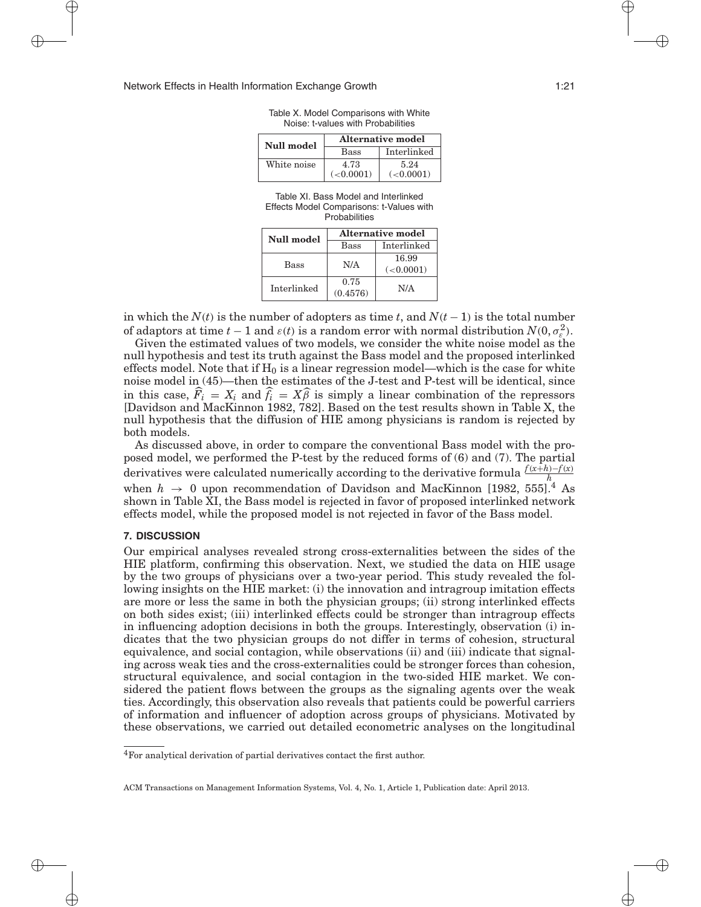| Null model  | <b>Alternative model</b> |             |  |
|-------------|--------------------------|-------------|--|
|             | <b>Bass</b>              | Interlinked |  |
| White noise | 4.73                     | 5.24        |  |
|             | (<0.0001)                | (<0.0001)   |  |

Table X. Model Comparisons with White Noise: t-values with Probabilities

Table XI. Bass Model and Interlinked Effects Model Comparisons: t-Values with **Probabilities** 

| Null model  | <b>Alternative model</b> |             |  |
|-------------|--------------------------|-------------|--|
|             | <b>Bass</b>              | Interlinked |  |
| Bass        | N/A                      | 16.99       |  |
|             |                          | (<0.0001)   |  |
| Interlinked | 0.75                     | N/A         |  |
|             | (0.4576)                 |             |  |

in which the  $N(t)$  is the number of adopters as time  $t$ , and  $N(t-1)$  is the total number of adaptors at time  $t - 1$  and  $\varepsilon(t)$  is a random error with normal distribution  $N(0, \sigma_{\varepsilon}^2)$ .

Given the estimated values of two models, we consider the white noise model as the null hypothesis and test its truth against the Bass model and the proposed interlinked effects model. Note that if  $H_0$  is a linear regression model—which is the case for white noise model in (45)—then the estimates of the J-test and P-test will be identical, since in this case,  $\overline{F}_i = X_i$  and  $f_i = X\beta$  is simply a linear combination of the repressors [Davidson and MacKinnon 1982, 782]. Based on the test results shown in Table X, the null hypothesis that the diffusion of HIE among physicians is random is rejected by both models.

As discussed above, in order to compare the conventional Bass model with the proposed model, we performed the P-test by the reduced forms of (6) and (7). The partial derivatives were calculated numerically according to the derivative formula  $\frac{f(x+h)-f(x)}{h}$ 

when  $h \rightarrow 0$  upon recommendation of Davidson and MacKinnon [1982, 555].<sup>4</sup> As shown in Table XI, the Bass model is rejected in favor of proposed interlinked network effects model, while the proposed model is not rejected in favor of the Bass model.

# **7. DISCUSSION**

Our empirical analyses revealed strong cross-externalities between the sides of the HIE platform, confirming this observation. Next, we studied the data on HIE usage by the two groups of physicians over a two-year period. This study revealed the following insights on the HIE market: (i) the innovation and intragroup imitation effects are more or less the same in both the physician groups; (ii) strong interlinked effects on both sides exist; (iii) interlinked effects could be stronger than intragroup effects in influencing adoption decisions in both the groups. Interestingly, observation (i) indicates that the two physician groups do not differ in terms of cohesion, structural equivalence, and social contagion, while observations (ii) and (iii) indicate that signaling across weak ties and the cross-externalities could be stronger forces than cohesion, structural equivalence, and social contagion in the two-sided HIE market. We considered the patient flows between the groups as the signaling agents over the weak ties. Accordingly, this observation also reveals that patients could be powerful carriers of information and influencer of adoption across groups of physicians. Motivated by these observations, we carried out detailed econometric analyses on the longitudinal

<sup>4</sup>For analytical derivation of partial derivatives contact the first author.

ACM Transactions on Management Information Systems, Vol. 4, No. 1, Article 1, Publication date: April 2013.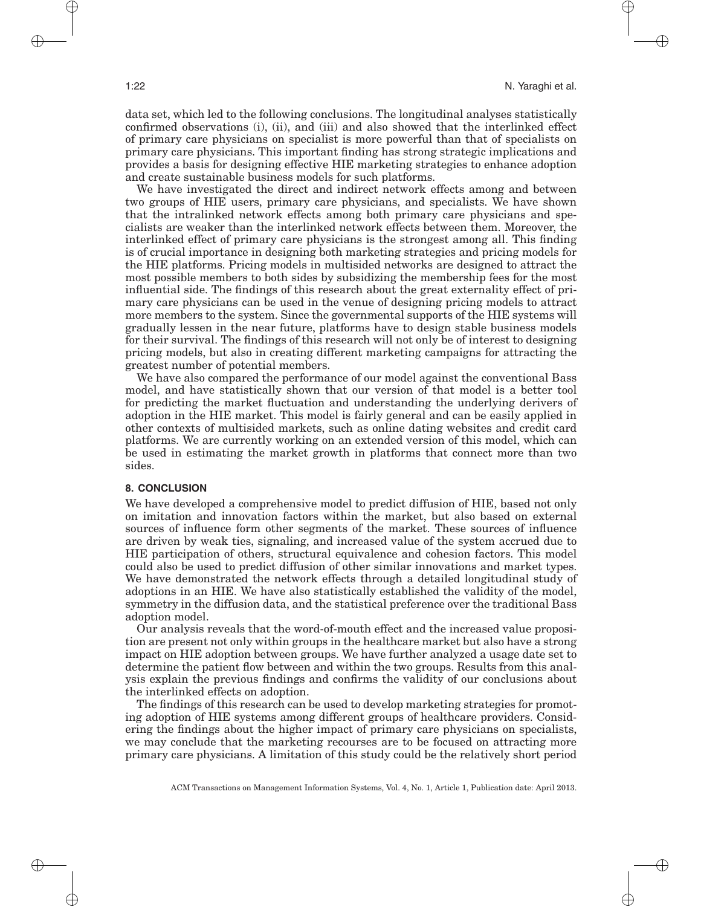data set, which led to the following conclusions. The longitudinal analyses statistically confirmed observations (i), (ii), and (iii) and also showed that the interlinked effect of primary care physicians on specialist is more powerful than that of specialists on primary care physicians. This important finding has strong strategic implications and provides a basis for designing effective HIE marketing strategies to enhance adoption and create sustainable business models for such platforms.

We have investigated the direct and indirect network effects among and between two groups of HIE users, primary care physicians, and specialists. We have shown that the intralinked network effects among both primary care physicians and specialists are weaker than the interlinked network effects between them. Moreover, the interlinked effect of primary care physicians is the strongest among all. This finding is of crucial importance in designing both marketing strategies and pricing models for the HIE platforms. Pricing models in multisided networks are designed to attract the most possible members to both sides by subsidizing the membership fees for the most influential side. The findings of this research about the great externality effect of primary care physicians can be used in the venue of designing pricing models to attract more members to the system. Since the governmental supports of the HIE systems will gradually lessen in the near future, platforms have to design stable business models for their survival. The findings of this research will not only be of interest to designing pricing models, but also in creating different marketing campaigns for attracting the greatest number of potential members.

We have also compared the performance of our model against the conventional Bass model, and have statistically shown that our version of that model is a better tool for predicting the market fluctuation and understanding the underlying derivers of adoption in the HIE market. This model is fairly general and can be easily applied in other contexts of multisided markets, such as online dating websites and credit card platforms. We are currently working on an extended version of this model, which can be used in estimating the market growth in platforms that connect more than two sides.

## **8. CONCLUSION**

We have developed a comprehensive model to predict diffusion of HIE, based not only on imitation and innovation factors within the market, but also based on external sources of influence form other segments of the market. These sources of influence are driven by weak ties, signaling, and increased value of the system accrued due to HIE participation of others, structural equivalence and cohesion factors. This model could also be used to predict diffusion of other similar innovations and market types. We have demonstrated the network effects through a detailed longitudinal study of adoptions in an HIE. We have also statistically established the validity of the model, symmetry in the diffusion data, and the statistical preference over the traditional Bass adoption model.

Our analysis reveals that the word-of-mouth effect and the increased value proposition are present not only within groups in the healthcare market but also have a strong impact on HIE adoption between groups. We have further analyzed a usage date set to determine the patient flow between and within the two groups. Results from this analysis explain the previous findings and confirms the validity of our conclusions about the interlinked effects on adoption.

The findings of this research can be used to develop marketing strategies for promoting adoption of HIE systems among different groups of healthcare providers. Considering the findings about the higher impact of primary care physicians on specialists, we may conclude that the marketing recourses are to be focused on attracting more primary care physicians. A limitation of this study could be the relatively short period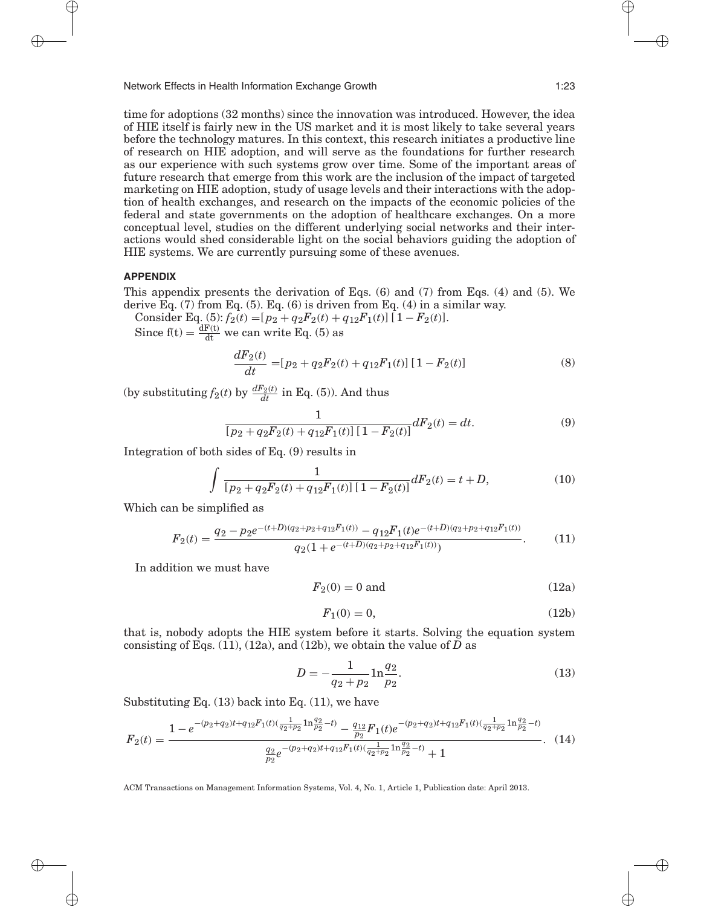time for adoptions (32 months) since the innovation was introduced. However, the idea of HIE itself is fairly new in the US market and it is most likely to take several years before the technology matures. In this context, this research initiates a productive line of research on HIE adoption, and will serve as the foundations for further research as our experience with such systems grow over time. Some of the important areas of future research that emerge from this work are the inclusion of the impact of targeted marketing on HIE adoption, study of usage levels and their interactions with the adoption of health exchanges, and research on the impacts of the economic policies of the federal and state governments on the adoption of healthcare exchanges. On a more conceptual level, studies on the different underlying social networks and their interactions would shed considerable light on the social behaviors guiding the adoption of HIE systems. We are currently pursuing some of these avenues.

# **APPENDIX**

This appendix presents the derivation of Eqs. (6) and (7) from Eqs. (4) and (5). We derive  $Eq. (7)$  from Eq. (5). Eq. (6) is driven from Eq. (4) in a similar way.

Consider Eq. (5):  $f_2(t) = [p_2 + q_2 F_2(t) + q_{12} F_1(t)] [1 - F_2(t)].$ Since  $f(t) = \frac{dF(t)}{dt}$  we can write Eq. (5) as

$$
\frac{dF_2(t)}{dt} = [p_2 + q_2 F_2(t) + q_{12} F_1(t)] [1 - F_2(t)] \tag{8}
$$

(by substituting  $f_2(t)$  by  $\frac{dF_2(t)}{dt}$  in Eq. (5)). And thus

$$
\frac{1}{[p_2 + q_2 F_2(t) + q_{12} F_1(t)] [1 - F_2(t)]} dF_2(t) = dt.
$$
 (9)

Integration of both sides of Eq. (9) results in

$$
\int \frac{1}{[p_2 + q_2 F_2(t) + q_{12} F_1(t)] [1 - F_2(t)]} dF_2(t) = t + D,\tag{10}
$$

Which can be simplified as

$$
F_2(t) = \frac{q_2 - p_2 e^{-(t+D)(q_2 + p_2 + q_{12}F_1(t))} - q_{12}F_1(t)e^{-(t+D)(q_2 + p_2 + q_{12}F_1(t))}}{q_2(1 + e^{-(t+D)(q_2 + p_2 + q_{12}F_1(t))})}.
$$
(11)

In addition we must have

$$
F_2(0) = 0 \text{ and } (12a)
$$

$$
F_1(0) = 0,\t(12b)
$$

that is, nobody adopts the HIE system before it starts. Solving the equation system consisting of Eqs. (11), (12a), and (12b), we obtain the value of *D* as

$$
D = -\frac{1}{q_2 + p_2} \ln \frac{q_2}{p_2}.
$$
 (13)

Substituting Eq. (13) back into Eq. (11), we have

$$
F_2(t) = \frac{1 - e^{-(p_2 + q_2)t + q_{12}F_1(t)(\frac{1}{q_2 + p_2}\ln\frac{q_2}{p_2} - t)} - \frac{q_{12}}{p_2}F_1(t)e^{-(p_2 + q_2)t + q_{12}F_1(t)(\frac{1}{q_2 + p_2}\ln\frac{q_2}{p_2} - t)} - \frac{q_{22}}{p_2}e^{-(p_2 + q_2)t + q_{12}F_1(t)(\frac{1}{q_2 + p_2}\ln\frac{q_2}{p_2} - t)} + 1}.
$$
 (14)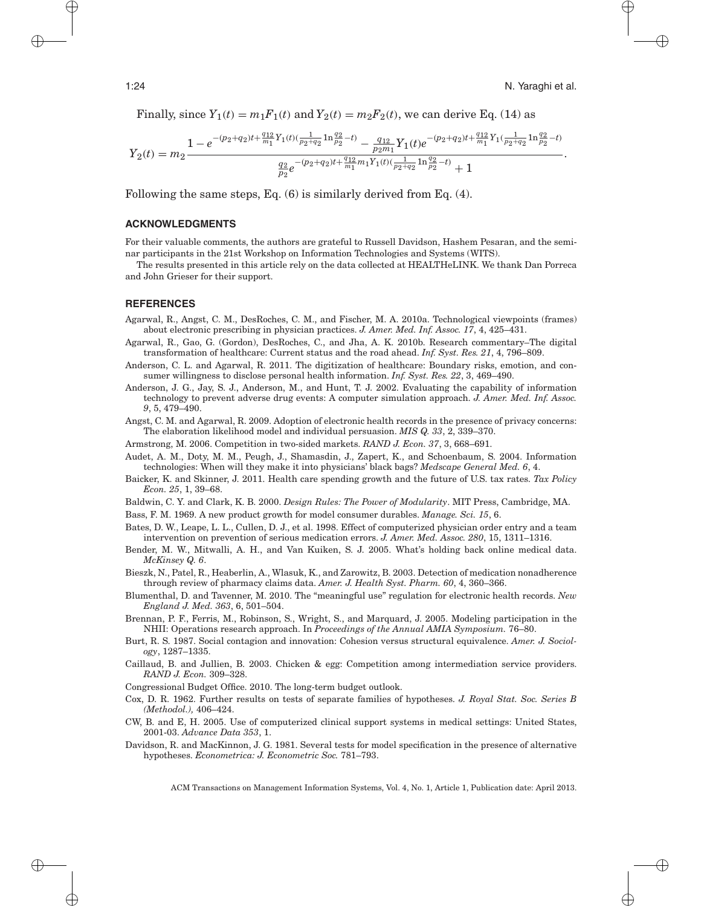Finally, since  $Y_1(t) = m_1 F_1(t)$  and  $Y_2(t) = m_2 F_2(t)$ , we can derive Eq. (14) as

$$
Y_2(t)=m_2\frac{1-e^{-(p_2+q_2)t+\frac{q_{12}}{m_1}Y_1(t)(\frac{1}{p_2+q_2}\ln\frac{q_2}{p_2}-t)}-\frac{q_{12}}{p_2m_1}Y_1(t)e^{-(p_2+q_2)t+\frac{q_{12}}{m_1}Y_1(\frac{1}{p_2+q_2}\ln\frac{q_2}{p_2}-t)}{\frac{q_2}{p_2}e^{-(p_2+q_2)t+\frac{q_{12}}{m_1}m_1Y_1(t)(\frac{1}{p_2+q_2}\ln\frac{q_2}{p_2}-t)}+1}.
$$

Following the same steps, Eq. (6) is similarly derived from Eq. (4).

# **ACKNOWLEDGMENTS**

For their valuable comments, the authors are grateful to Russell Davidson, Hashem Pesaran, and the seminar participants in the 21st Workshop on Information Technologies and Systems (WITS).

The results presented in this article rely on the data collected at HEALTHeLINK. We thank Dan Porreca and John Grieser for their support.

#### **REFERENCES**

- Agarwal, R., Angst, C. M., DesRoches, C. M., and Fischer, M. A. 2010a. Technological viewpoints (frames) about electronic prescribing in physician practices. *J. Amer. Med. Inf. Assoc. 17*, 4, 425–431.
- Agarwal, R., Gao, G. (Gordon), DesRoches, C., and Jha, A. K. 2010b. Research commentary–The digital transformation of healthcare: Current status and the road ahead. *Inf. Syst. Res. 21*, 4, 796–809.
- Anderson, C. L. and Agarwal, R. 2011. The digitization of healthcare: Boundary risks, emotion, and consumer willingness to disclose personal health information. *Inf. Syst. Res. 22*, 3, 469–490.
- Anderson, J. G., Jay, S. J., Anderson, M., and Hunt, T. J. 2002. Evaluating the capability of information technology to prevent adverse drug events: A computer simulation approach. *J. Amer. Med. Inf. Assoc. 9*, 5, 479–490.
- Angst, C. M. and Agarwal, R. 2009. Adoption of electronic health records in the presence of privacy concerns: The elaboration likelihood model and individual persuasion. *MIS Q. 33*, 2, 339–370.
- Armstrong, M. 2006. Competition in two-sided markets. *RAND J. Econ. 37*, 3, 668–691.
- Audet, A. M., Doty, M. M., Peugh, J., Shamasdin, J., Zapert, K., and Schoenbaum, S. 2004. Information technologies: When will they make it into physicians' black bags? *Medscape General Med. 6*, 4.
- Baicker, K. and Skinner, J. 2011. Health care spending growth and the future of U.S. tax rates. *Tax Policy Econ. 25*, 1, 39–68.
- Baldwin, C. Y. and Clark, K. B. 2000. *Design Rules: The Power of Modularity*. MIT Press, Cambridge, MA.
- Bass, F. M. 1969. A new product growth for model consumer durables. *Manage. Sci. 15*, 6.
- Bates, D. W., Leape, L. L., Cullen, D. J., et al. 1998. Effect of computerized physician order entry and a team intervention on prevention of serious medication errors. *J. Amer. Med. Assoc. 280*, 15, 1311–1316.
- Bender, M. W., Mitwalli, A. H., and Van Kuiken, S. J. 2005. What's holding back online medical data. *McKinsey Q. 6*.
- Bieszk, N., Patel, R., Heaberlin, A., Wlasuk, K., and Zarowitz, B. 2003. Detection of medication nonadherence through review of pharmacy claims data. *Amer. J. Health Syst. Pharm. 60*, 4, 360–366.
- Blumenthal, D. and Tavenner, M. 2010. The "meaningful use" regulation for electronic health records. *New England J. Med. 363*, 6, 501–504.
- Brennan, P. F., Ferris, M., Robinson, S., Wright, S., and Marquard, J. 2005. Modeling participation in the NHII: Operations research approach. In *Proceedings of the Annual AMIA Symposium.* 76–80.
- Burt, R. S. 1987. Social contagion and innovation: Cohesion versus structural equivalence. *Amer. J. Sociology*, 1287–1335.
- Caillaud, B. and Jullien, B. 2003. Chicken & egg: Competition among intermediation service providers. *RAND J. Econ.* 309–328.
- Congressional Budget Office. 2010. The long-term budget outlook.
- Cox, D. R. 1962. Further results on tests of separate families of hypotheses. *J. Royal Stat. Soc. Series B (Methodol.),* 406–424.
- CW, B. and E, H. 2005. Use of computerized clinical support systems in medical settings: United States, 2001-03. *Advance Data 353*, 1.
- Davidson, R. and MacKinnon, J. G. 1981. Several tests for model specification in the presence of alternative hypotheses. *Econometrica: J. Econometric Soc.* 781–793.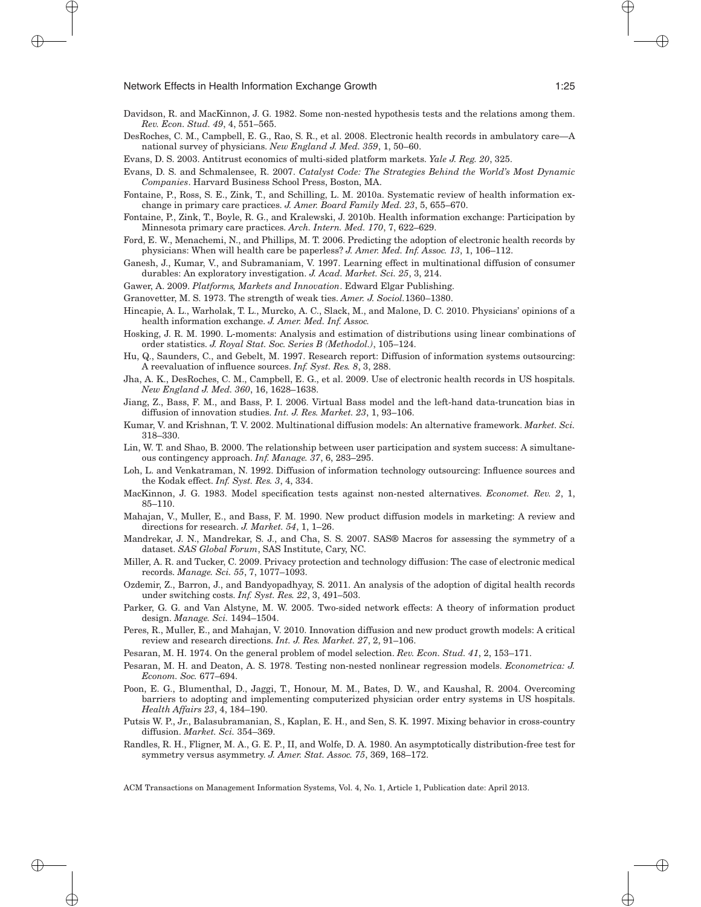- Davidson, R. and MacKinnon, J. G. 1982. Some non-nested hypothesis tests and the relations among them. *Rev. Econ. Stud. 49*, 4, 551–565.
- DesRoches, C. M., Campbell, E. G., Rao, S. R., et al. 2008. Electronic health records in ambulatory care—A national survey of physicians. *New England J. Med. 359*, 1, 50–60.
- Evans, D. S. 2003. Antitrust economics of multi-sided platform markets. *Yale J. Reg. 20*, 325.
- Evans, D. S. and Schmalensee, R. 2007. *Catalyst Code: The Strategies Behind the World's Most Dynamic Companies*. Harvard Business School Press, Boston, MA.
- Fontaine, P., Ross, S. E., Zink, T., and Schilling, L. M. 2010a. Systematic review of health information exchange in primary care practices. *J. Amer. Board Family Med. 23*, 5, 655–670.
- Fontaine, P., Zink, T., Boyle, R. G., and Kralewski, J. 2010b. Health information exchange: Participation by Minnesota primary care practices. *Arch. Intern. Med. 170*, 7, 622–629.
- Ford, E. W., Menachemi, N., and Phillips, M. T. 2006. Predicting the adoption of electronic health records by physicians: When will health care be paperless? *J. Amer. Med. Inf. Assoc. 13*, 1, 106–112.
- Ganesh, J., Kumar, V., and Subramaniam, V. 1997. Learning effect in multinational diffusion of consumer durables: An exploratory investigation. *J. Acad. Market. Sci. 25*, 3, 214.
- Gawer, A. 2009. *Platforms, Markets and Innovation*. Edward Elgar Publishing.
- Granovetter, M. S. 1973. The strength of weak ties. *Amer. J. Sociol.*1360–1380.
- Hincapie, A. L., Warholak, T. L., Murcko, A. C., Slack, M., and Malone, D. C. 2010. Physicians' opinions of a health information exchange. *J. Amer. Med. Inf. Assoc.*
- Hosking, J. R. M. 1990. L-moments: Analysis and estimation of distributions using linear combinations of order statistics. *J. Royal Stat. Soc. Series B (Methodol.)*, 105–124.
- Hu, Q., Saunders, C., and Gebelt, M. 1997. Research report: Diffusion of information systems outsourcing: A reevaluation of influence sources. *Inf. Syst. Res. 8*, 3, 288.
- Jha, A. K., DesRoches, C. M., Campbell, E. G., et al. 2009. Use of electronic health records in US hospitals. *New England J. Med. 360*, 16, 1628–1638.
- Jiang, Z., Bass, F. M., and Bass, P. I. 2006. Virtual Bass model and the left-hand data-truncation bias in diffusion of innovation studies. *Int. J. Res. Market. 23*, 1, 93–106.
- Kumar, V. and Krishnan, T. V. 2002. Multinational diffusion models: An alternative framework. *Market. Sci.* 318–330.
- Lin, W. T. and Shao, B. 2000. The relationship between user participation and system success: A simultaneous contingency approach. *Inf. Manage. 37*, 6, 283–295.
- Loh, L. and Venkatraman, N. 1992. Diffusion of information technology outsourcing: Influence sources and the Kodak effect. *Inf. Syst. Res. 3*, 4, 334.
- MacKinnon, J. G. 1983. Model specification tests against non-nested alternatives. *Economet. Rev. 2*, 1, 85–110.
- Mahajan, V., Muller, E., and Bass, F. M. 1990. New product diffusion models in marketing: A review and directions for research. *J. Market. 54*, 1, 1–26.
- Mandrekar, J. N., Mandrekar, S. J., and Cha, S. S. 2007. SAS® Macros for assessing the symmetry of a dataset. *SAS Global Forum*, SAS Institute, Cary, NC.
- Miller, A. R. and Tucker, C. 2009. Privacy protection and technology diffusion: The case of electronic medical records. *Manage. Sci. 55*, 7, 1077–1093.
- Ozdemir, Z., Barron, J., and Bandyopadhyay, S. 2011. An analysis of the adoption of digital health records under switching costs. *Inf. Syst. Res. 22*, 3, 491–503.
- Parker, G. G. and Van Alstyne, M. W. 2005. Two-sided network effects: A theory of information product design. *Manage. Sci.* 1494–1504.
- Peres, R., Muller, E., and Mahajan, V. 2010. Innovation diffusion and new product growth models: A critical review and research directions. *Int. J. Res. Market. 27*, 2, 91–106.
- Pesaran, M. H. 1974. On the general problem of model selection. *Rev. Econ. Stud. 41*, 2, 153–171.
- Pesaran, M. H. and Deaton, A. S. 1978. Testing non-nested nonlinear regression models. *Econometrica: J. Econom. Soc.* 677–694.
- Poon, E. G., Blumenthal, D., Jaggi, T., Honour, M. M., Bates, D. W., and Kaushal, R. 2004. Overcoming barriers to adopting and implementing computerized physician order entry systems in US hospitals. *Health Affairs 23*, 4, 184–190.
- Putsis W. P., Jr., Balasubramanian, S., Kaplan, E. H., and Sen, S. K. 1997. Mixing behavior in cross-country diffusion. *Market. Sci.* 354–369.
- Randles, R. H., Fligner, M. A., G. E. P., II, and Wolfe, D. A. 1980. An asymptotically distribution-free test for symmetry versus asymmetry. *J. Amer. Stat. Assoc. 75*, 369, 168–172.